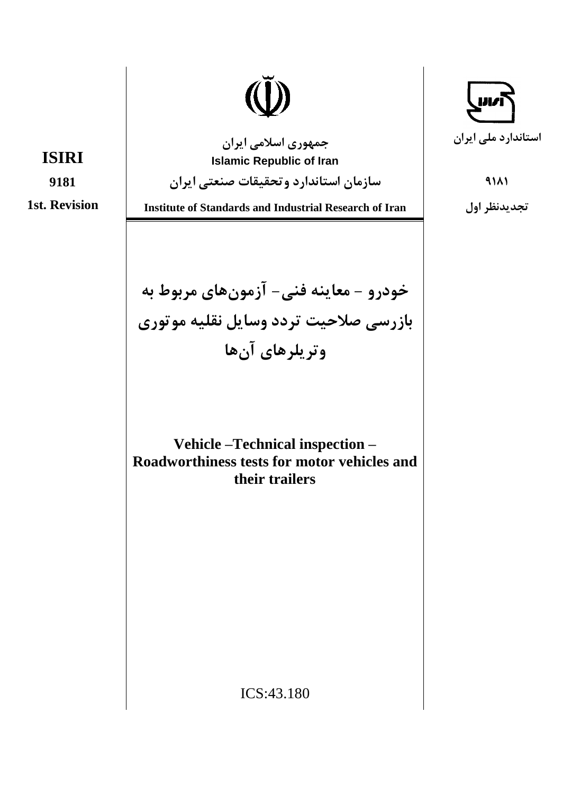**ISIRI** 

9181

**1st. Revision** 

جمهوري اسلامي ايران **Islamic Republic of Iran** 

سازمان استاندارد وتحقيقات صنعتى ايران

**Institute of Standards and Industrial Research of Iran** 

خودرو - معاينه فني- آزمونهاي مربوط به بازرسي صلاحيت تردد وسايل نقليه موتوري وتريلرهاي آنها

Vehicle-Technical inspection-Roadworthiness tests for motor vehicles and their trailers

استاندارد ملی ایران

 $9111$ 

تجديدنظر اول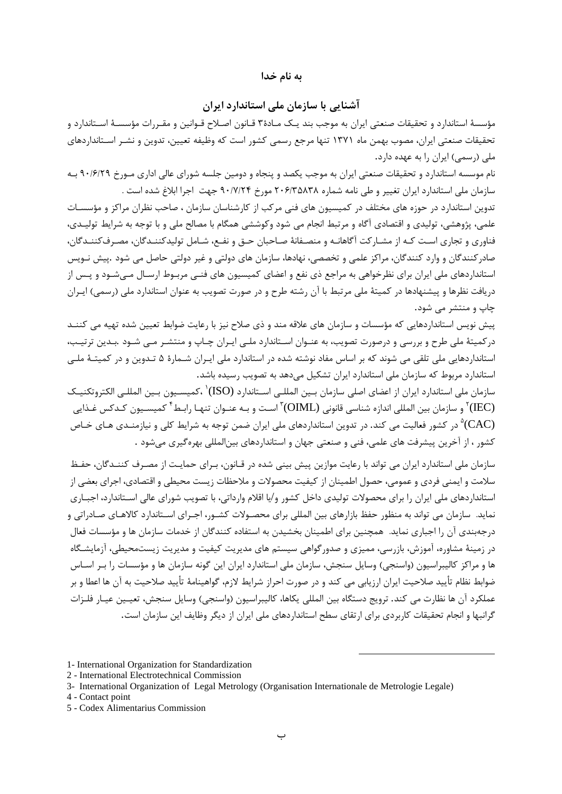### به نام خدا

## آشنایی با سازمان ملے استاندارد ایران

مؤسسهٔ استاندارد و تحقیقات صنعتی ایران به موجب بند یـک مـادهٔ۳ قـانون اصـلاح قـوانین و مقـررات مؤسسـهٔ اسـتاندارد و تحقیقات صنعتی ایران، مصوب بهمن ماه ۱۳۷۱ تنها مرجع رسمی کشور است که وظیفه تعیین، تدوین و نشـر اسـتانداردهای ملی (رسمی) ایران را به عهده دارد.

نام موسسه استاندارد و تحقیقات صنعتی ایران به موجب یکصد و پنجاه و دومین جلسه شورای عالی اداری مـورخ ۹۰/۶/۲۹ بـه سازمان ملي استاندارد ايران تغيير و طي نامه شماره ٢٠۶/٣۵٨٣٨ مورخ ٩٠/٧/٢۴ جهت اجرا ابلاغ شده است .

تدوین استاندارد در حوزه های مختلف در کمیسیون های فنی مرکب از کارشناسان سازمان ، صاحب نظران مراکز و مؤسسـات علمي، پژوهشي، توليدي و اقتصادي آگاه و مرتبط انجام مي شود وكوششي همگام با مصالح ملي و با توجه به شرايط توليـدي، فناوری و تجاری است کـه از مشـارکت آگاهانـه و منصـفانهٔ صـاحبان حـق و نفـع، شـامل تولیدکننـدگان، مصـرفکننـدگان، صادرکنندگان و وارد کنندگان، مراکز علمی و تخصصی، نهادها، سازمان های دولتی و غیر دولتی حاصل می شود .پیش نـویس استانداردهای ملی ایران برای نظرخواهی به مراجع ذی نفع و اعضای کمیسیون های فنبی مربـوط ارسـال مـی،شـود و پـس از دریافت نظرها و پیشنهادها در کمیتهٔ ملی مرتبط با آن رشته طرح و در صورت تصویب به عنوان استاندارد ملی (رسمی) ایـران چاپ و منتشر می شود.

پیش نویس استانداردهایی که مؤسسات و سازمان های علاقه مند و ذی صلاح نیز با رعایت ضوابط تعیین شده تهیه می کننـد درکمیتهٔ ملی طرح و بررسی و درصورت تصویب، به عنـوان اسـتاندارد ملـی ایـران چـاپ و منتشـر مـی شـود .بـدین ترتیـب، استانداردهایی ملی تلقی می شوند که بر اساس مفاد نوشته شده در استاندارد ملی ایـران شـمارهٔ ۵ تـدوین و در کمیتـهٔ ملـی استاندارد مربوط که سازمان ملی استاندارد ایران تشکیل میدهد به تصویب رسیده باشد.

سازمان ملي استاندارد ايران از اعضاي اصلي سازمان بـين المللـي اسـتاندارد (ISO)٬ ،كميسـيون بـين المللـي الكتروتكنيـك بو سازمان بين المللي اندازه شناسي قانوني (OIML) (است و بـه عنـوان تنهـا رابـط<sup>۴</sup> كميسـيون كـدكس غـذايي") در کشور فعالیت می کند. در تدوین استانداردهای ملی ایران ضمن توجه به شرایط کلی و نیازمنـدی هـای خـاص (CAC) کشور ، از آخرین پیشرفت های علمی، فنی و صنعتی جهان و استانداردهای بینالمللی بهرهگیری می شود .

سازمان ملی استاندارد ایران می تواند با رعایت موازین پیش بینی شده در قـانون، بـرای حمایـت از مصـرف کننـدگان، حفـظ سلامت و ایمنی فردی و عمومی، حصول اطمینان از کیفیت محصولات و ملاحظات زیست محیطی و اقتصادی، اجرای بعضی از استانداردهای ملی ایران را برای محصولات تولیدی داخل کشور و/یا اقلام وارداتی، با تصویب شورای عالی اسـتاندارد، اجبـاری نماید. سازمان می تواند به منظور حفظ بازارهای بین المللی برای محصـولات کشـور، اجـرای اسـتاندارد کالاهـای صـادراتی و درجهبندی آن را اجباری نماید. همچنین برای اطمینان بخشیدن به استفاده کنندگان از خدمات سازمان ها و مؤسسات فعال در زمینهٔ مشاوره، آموزش، بازرسی، ممیزی و صدورگواهی سیستم های مدیریت کیفیت و مدیریت زیستمحیطی، آزمایشـگاه ها و مراکز کالیبراسیون (واسنجی) وسایل سنجش، سازمان ملی استاندارد ایران این گونه سازمان ها و مؤسسات را بـر اسـاس ضوابط نظام تأييد صلاحيت ايران ارزيابي مي كند و در صورت احراز شرايط لازم، گواهينامهٔ تأييد صلاحيت به آن ها اعطا و بر عملکرد آن ها نظارت می کند. ترویج دستگاه بین المللی یکاها، کالیبراسیون (واسنجی) وسایل سنجش، تعیـین عیـار فلـزات گرانبها و انجام تحقیقات کاربردی برای ارتقای سطح استانداردهای ملی ایران از دیگر وظایف این سازمان است.

4 - Contact point

<sup>1-</sup> International Organization for Standardization

<sup>2 -</sup> International Electrotechnical Commission

<sup>3-</sup> International Organization of Legal Metrology (Organisation Internationale de Metrologie Legale)

<sup>5 -</sup> Codex Alimentarius Commission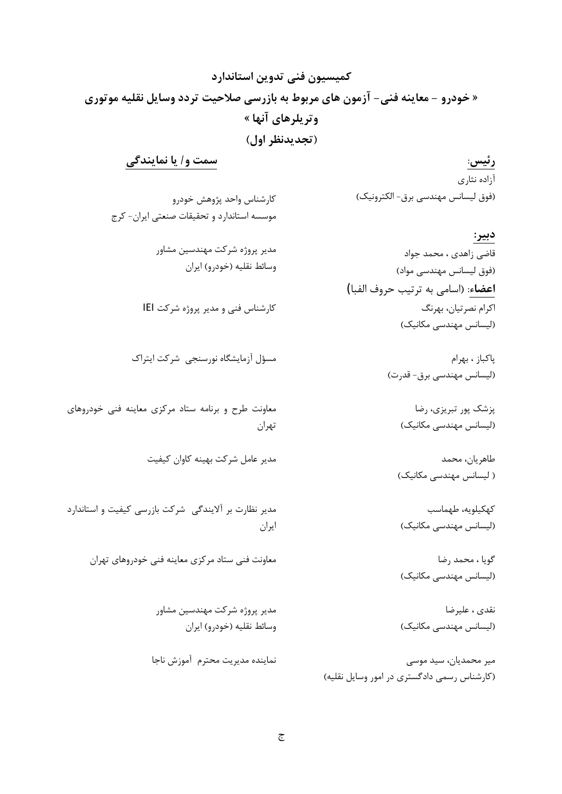# كميسيون فني تدوين استاندارد « خودرو – معاینه فنی– آزمون های مربوط به بازرسی صلاحیت تردد وسایل نقلیه موتوری وتريلرهاي آنها » (تجديدنظر اول)

رئيس: آزاده نثارى (فوق لیسانس مهندسی برق- الکترونیک)

کارشناس واحد پژوهش خودرو موسسه استاندارد و تحقیقات صنعتی ایران- کرج

سمت و/ یا نمایندگی

مدير پروژه شركت مهندسين مشاور وسائط نقليه (خودرو) ايران

کارشناس فنی و مدیر پروژه شرکت IEI

مسؤل آزمايشگاه نورسنجى شركت ايتراك

معاونت طرح و برنامه ستاد مرکزی معاینه فنی خودروهای تهران

مدیر عامل شرکت بهینه کاوان کیفیت

مدیر نظارت بر آلایندگی شرکت بازرسی کیفیت و استاندارد ايران

معاونت فنی ستاد مرکزی معاینه فنی خودروهای تهران

مدير پروژه شركت مهندسين مشاور وسائط نقليه (خودرو) ايران

نماينده مديريت محترم آموزش ناجا

(لیسانس مهندسی مکانیک) ياكباز ، بهرام (لیسانس مهندسی برق- قدرت)

**اعضاء**: (اسامي به ترتيب حروف الفبا)

پزشک پور تبریزی، رضا (لیسانس مهندسی مکانیک)

قاضی زاهدی ، محمد جواد

اکرام نصرتیان، بھرنگ

(فوق لیسانس مهندسی مواد)

دبير:

طاهريان، محمد ( لیسانس مهندسی مکانیک)

كهكيلويه، طهماسب (لیسانس مهندسی مکانیک)

گویا ، محمد رضا (لیسانس مهندسی مکانیک)

نقدي ، عليرضا (لیسانس مهندسی مکانیک)

میر محمدیان، سید موسی (کارشناس رسمی دادگستری در امور وسایل نقلیه)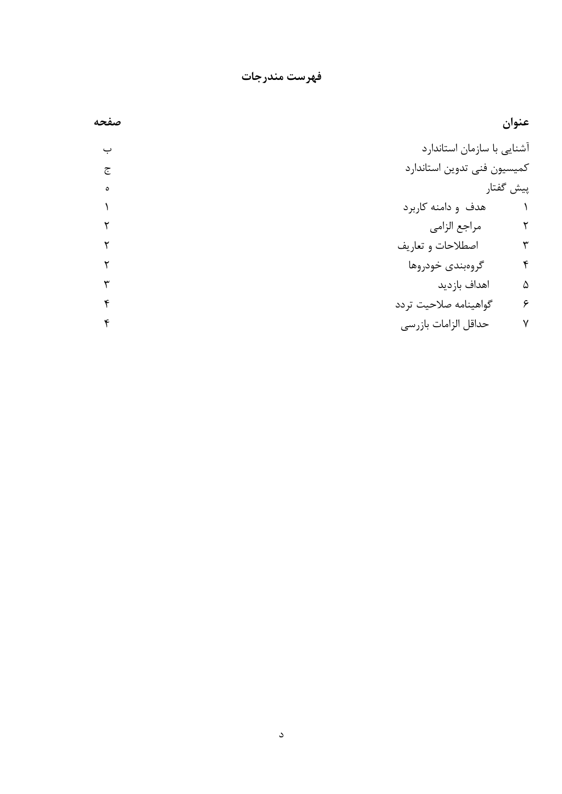فهرست مندرجات

| صفحه | عنوان                                     |
|------|-------------------------------------------|
| ب    | آشنایی با سازمان استاندارد                |
| ج    | كميسيون فنى تدوين استاندارد               |
| ٥    | پیش گفتار                                 |
|      | هدف و دامنه کاربرد                        |
|      | مراجع الزامي<br>٢                         |
|      | اصطلاحات و تعاريف<br>$\mathbf{\breve{v}}$ |
|      | ۴<br>گروهبندی خودروها                     |
|      | اهداف بازديد<br>۵                         |
|      | ۶<br>گواهينامه صلاحيت تردد                |
|      | حداقل الزامات بازرسي<br>٧                 |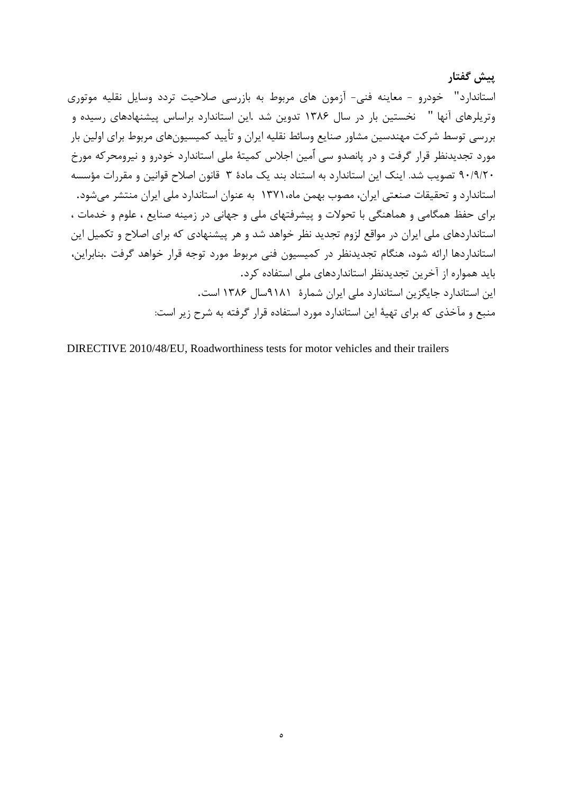پیش گفتار استاندارد" خودرو - معاينه فني- آزمون هاي مربوط به بازرسي صلاحيت تردد وسايل نقليه موتوري وتریلرهای آنها " نخستین بار در سال ۱۳۸۶ تدوین شد .این استاندارد براساس پیشنهادهای رسیده و بررسی توسط شرکت مهندسین مشاور صنایع وسائط نقلیه ایران و تأیید کمیسیونهای مربوط برای اولین بار مورد تجدیدنظر قرار گرفت و در پانصدو سی اٌمین اجلاس کمیتهٔ ملی استاندارد خودرو و نیرومحرکه مورخ ۹۰/۹/۲۰ تصویب شد. اینک این استاندارد به استناد بند یک مادهٔ ۳ قانون اصلاح قوانین و مقررات مؤسسه استاندارد و تحقیقات صنعتی ایران، مصوب بهمن ماه،۱۳۷۱ به عنوان استاندارد ملی ایران منتشر می شود. برای حفظ همگامی و هماهنگی با تحولات و پیشرفتهای ملی و جهانی در زمینه صنایع ، علوم و خدمات ، استانداردهای ملی ایران در مواقع لزوم تجدید نظر خواهد شد و هر پیشنهادی که برای اصلاح و تکمیل این استانداردها ارائه شود، هنگام تجدیدنظر در کمیسیون فنی مربوط مورد توجه قرار خواهد گرفت .بنابراین، باید همواره از آخرین تجدیدنظر استانداردهای ملی استفاده کرد. این استاندارد جایگزین استاندارد ملی ایران شمارهٔ ۹۱۸۱سال ۱۳۸۶ است. منبع و مآخذی که برای تهیهٔ این استاندارد مورد استفاده قرار گرفته به شرح زیر است:

DIRECTIVE 2010/48/EU, Roadworthiness tests for motor vehicles and their trailers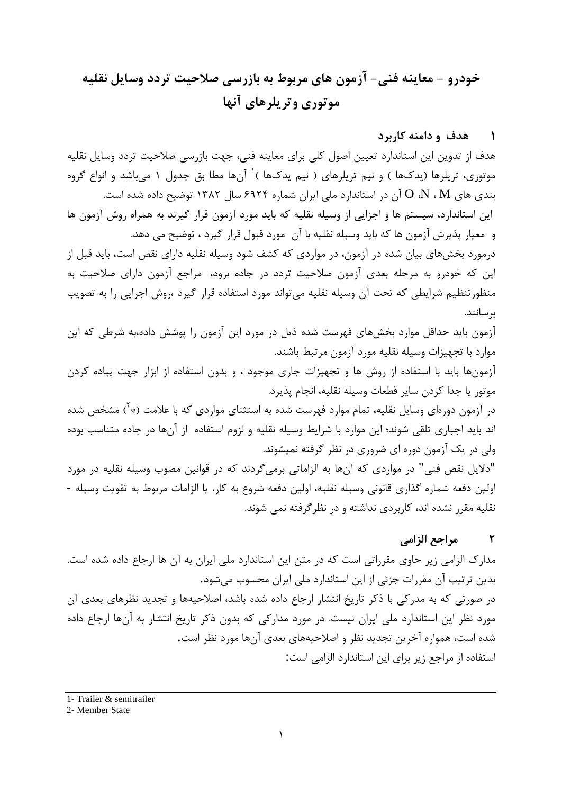# خودرو – معاينه فني- آزمون هاي مربوط به بازرسي صلاحيت تردد وسايل نقليه موتوري وتريلرهاي آنها

## ۱ مهدف و دامنه کاربرد

هدف از تدوين اين استاندارد تعيين اصول كلي براي معاينه فني، جهت بازرسي صلاحيت تردد وسايل نقليه موتوری، تریلرها (یدکها ) و نیم تریلرهای ( نیم یدکها )<sup>\</sup> آنها مطا بق جدول ۱ میباشد و انواع گروه بندی های  $\rm M$  ،  $\rm M$  آن در استاندارد ملی ایران شماره ۶۹۲۴ سال ۱۳۸۲ توضیح داده شده است. این استاندارد، سیستم ها و اجزایی از وسیله نقلیه که باید مورد آزمون قرار گیرند به همراه روش آزمون ها و ً معيار پذيرش آزمون ها كه بايد وسيله نقليه با آن ٍ مورد قبول قرار گيرد ، توضيح مي دهد. درمورد بخشهای بیان شده در آزمون، در مواردی که کشف شود وسیله نقلیه دارای نقص است، باید قبل از این که خودرو به مرحله بعدی آزمون صلاحیت تردد در جاده برود، مراجع آزمون دارای صلاحیت به منظورتنظیم شرایطی که تحت آن وسیله نقلیه می تواند مورد استفاده قرار گیرد ،روش اجرایی را به تصویب ىر سانند.

آزمون باید حداقل موارد بخشهای فهرست شده ذیل در مورد این آزمون را پوشش داده،به شرطی که این موارد با تجهیزات وسیله نقلیه مورد آزمون مرتبط باشند.

آزمونها باید با استفاده از روش ها و تجهیزات جاری موجود ، و بدون استفاده از ابزار جهت پیاده کردن موتور يا جدا كردن ساير قطعات وسيله نقليه، انجام پذيرد.

در آزمون دورهای وسایل نقلیه، تمام موارد فهرست شده به استثنای مواردی که با علامت (\* <sup>آ</sup>) مشخص شده اند باید اجباری تلقی شوند؛ این موارد با شرایط وسیله نقلیه و لزوم استفاده از آنها در جاده متناسب بوده ولی در یک آزمون دوره ای ضروری در نظر گرفته نمیشوند.

"دلایل نقص فنی" در مواردی که آنها به الزاماتی برمی گردند که در قوانین مصوب وسیله نقلیه در مورد اولین دفعه شماره گذاری قانونی وسیله نقلیه، اولین دفعه شروع به کار، یا الزامات مربوط به تقویت وسیله -نقلیه مقرر نشده اند، کاربردی نداشته و در نظر گرفته نمی شوند.

#### $\mathbf{r}$ مراجع الزامى

مدارک الزامی زیر حاوی مقرراتی است که در متن این استاندارد ملی ایران به آن ها ارجاع داده شده است. بدین ترتیب آن مقررات جزئی از این استاندارد ملی ایران محسوب میشود. در صورتی که به مدرکی با ذکر تاریخ انتشار ارجاع داده شده باشد، اصلاحیهها و تجدید نظرهای بعدی آن مورد نظر این استاندارد ملی ایران نیست. در مورد مدارکی که بدون ذکر تاریخ انتشار به آنها ارجاع داده شده است، همواره آخرین تجدید نظر و اصلاحیههای بعدی آنها مورد نظر است. استفاده از مراجع زیر برای این استاندارد الزامی است:

1- Trailer & semitrailer

### 2- Member State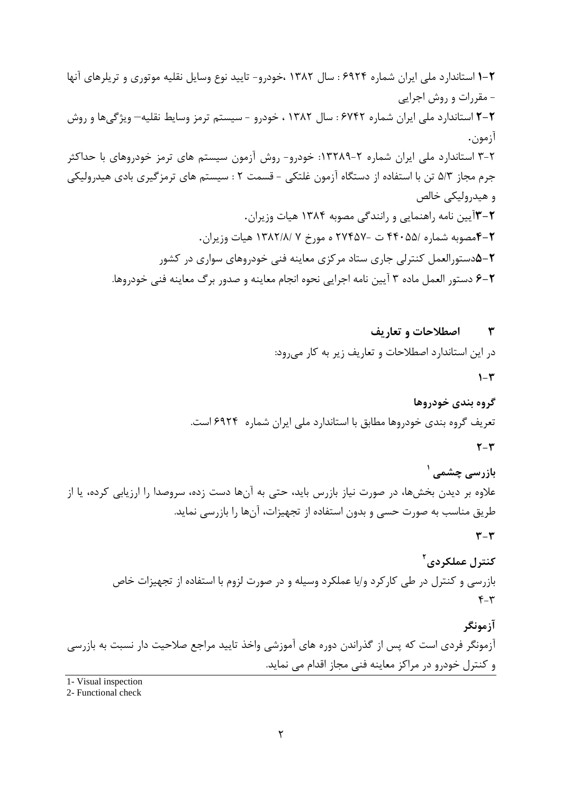اصطلاحات و تعاريف  $\mathbf{r}$ در این استاندارد اصطلاحات و تعاریف زیر به کار می رود:  $1-\mathcal{r}$ 

گروه بندي خودروها تعریف گروه بندی خودروها مطابق با استاندارد ملی ایران شماره ۶۹۲۴ است.

 $\mathbf{r} - \mathbf{r}$ 

بازرسی چشمی <sup>۱</sup> علاوه بر دیدن بخشها، در صورت نیاز بازرس باید، حتی به آنها دست زده، سروصدا را ارزیابی کرده، یا از طریق مناسب به صورت حسی و بدون استفاده از تجهیزات، آنها را بازرسی نماید.

 $\mathbf{r} - \mathbf{r}$ 

كنترل عملكردي آ بازرسی و کنترل در طی کارکرد و/یا عملکرد وسیله و در صورت لزوم با استفاده از تجهیزات خاص  $F-\tau$ 

آزمونگر آزمونگر فردی است که پس از گذراندن دوره های آموزشی واخذ تایید مراجع صلاحیت دار نسبت به بازرسی و کنترل خودرو در مراکز معاینه فنی مجاز اقدام می نماید.

1- Visual inspection

2- Functional check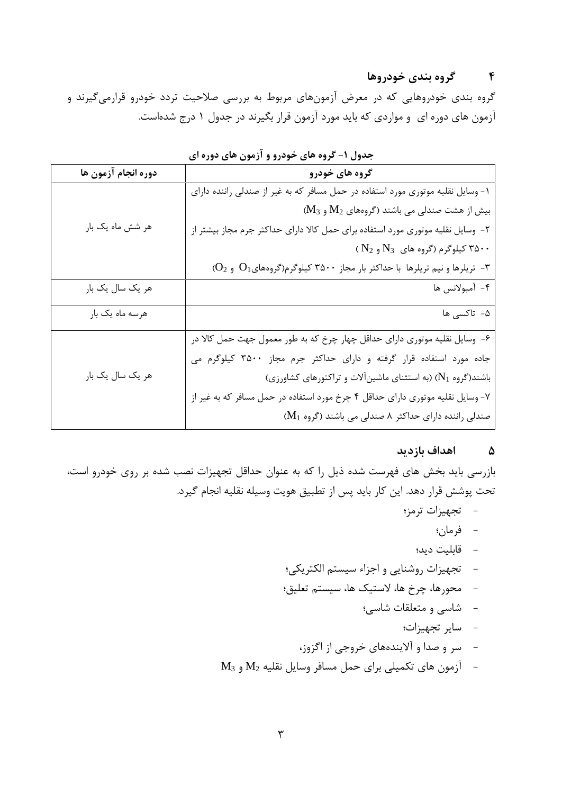# ۴ گروه بندی خودروها

گروه بندی خودروهایی که در معرض آزمونهای مربوط به بررسی صلاحیت تردد خودرو قرارمیگیرند و آزمون های دوره ای و مواردی که باید مورد آزمون قرار بگیرند در جدول ۱ درج شدهاست.

| دوره انجام آزمون ها | گروه های خودرو                                                                                   |
|---------------------|--------------------------------------------------------------------------------------------------|
|                     | ۱- وسایل نقلیه موتوری مورد استفاده در حمل مسافر که به غیر از صندلی راننده دارای                  |
|                     | $M_3$ بیش از هشت صندلی می باشند (گروههای $M_2$ و                                                 |
| هر شش ماه یک بار    | ۲- وسایل نقلیه موتوری مورد استفاده برای حمل کالا دارای حداکثر جرم مجاز بیشتر از                  |
|                     | ( $\rm N_2$ ) کیلوگرم (گروه های $\rm N_3$ و $\rm A\cdot\cdot$                                    |
|                     | 7- تریلرها و نیم تریلرها با حداکثر بار مجاز ۳۵۰۰ کیلوگرم(گروههای $\mathrm{O}_1$ و $\mathrm{O}_2$ |
| هر یک سال یک بار    | ۴- أمبولانس ها                                                                                   |
| هرسه ماه یک بار     | ۵- تاکسی ها                                                                                      |
|                     | ۶- وسایل نقلیه موتوری دارای حداقل چهار چرخ که به طور معمول جهت حمل کالا در                       |
|                     | جاده مورد استفاده قرار گرفته و دارای حداکثر جرم مجاز ۳۵۰۰ کیلوگرم می                             |
| هر یک سال یک بار    | باشند(گروه N1) (به استثنای ماشین آلات و تراکتورهای کشاورزی)                                      |
|                     | ۷- وسایل نقلیه موتوری دارای حداقل ۴ چرخ مورد استفاده در حمل مسافر که به غیر از                   |
|                     | صندلی راننده دارای حداکثر ۸ صندلی می باشند (گروه M1)                                             |

جدول ۱– گروه های خودرو و آزمون های دوره ای

# ۵ اهداف بازدید

بازرسی باید بخش های فهرست شده ذیل را که به عنوان حداقل تجهیزات نصب شده بر روی خودرو است، تحت پوشش قرار دهد. این کار باید پس از تطبیق هویت وسیله نقلیه انجام گیرد.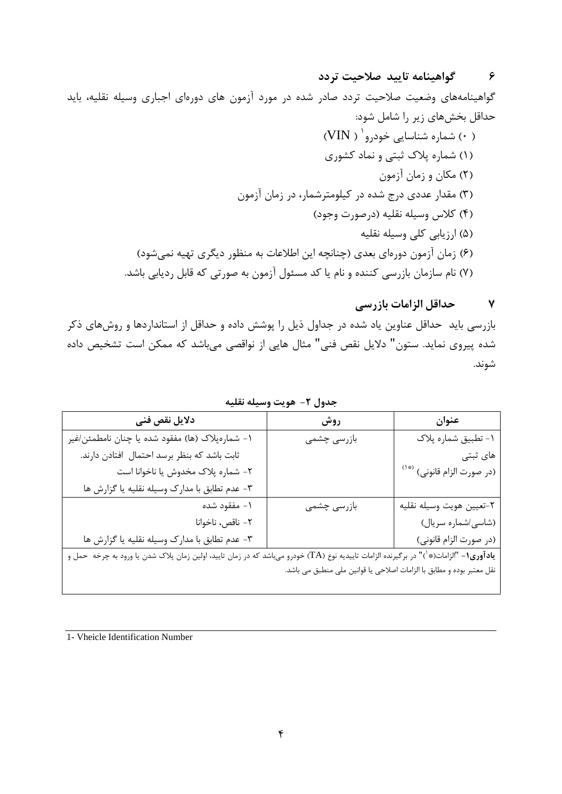# ۶ ـ گواهينامه تاييد صلاحيت تردد

گواهینامههای وضعیت صلاحیت تردد صادر شده در مورد آزمون های دورهای اجباری وسیله نقلیه، باید حداقل بخشهای زیر را شامل شود:

#### حداقل الزامات بازرسي  $\mathbf{v}$

بازرسی باید حداقل عناوین یاد شده در جداول ذیل را پوشش داده و حداقل از استانداردها و روشهای ذکر شده پیروی نماید. ستون" دلایل نقص فنی" مثال هایی از نواقصی میباشد که ممکن است تشخیص داده شوند.

| دلايل نقص فنى                                                                                                                                 | روش                                                                   | عنوان                                  |
|-----------------------------------------------------------------------------------------------------------------------------------------------|-----------------------------------------------------------------------|----------------------------------------|
| ١- شمارەپلاک (ها) مفقود شده يا چنان نامطمئن/غير                                                                                               | بازرسى چشمى                                                           | ١- تطبيق شماره پلاک                    |
| ثابت باشد كه بنظر برسد احتمال افتادن دارند.                                                                                                   |                                                                       | های ثبتی                               |
| ٢- شماره پلاک مخدوش يا ناخوانا است                                                                                                            |                                                                       | (در صورت الزام قانونی) <sup>(*۱)</sup> |
| ٣- عدم تطابق با مدارك وسيله نقليه يا گزارش ها                                                                                                 |                                                                       |                                        |
| ١- مفقود شده                                                                                                                                  | بازرسى چشمى                                                           | ٢-تعيين هويت وسيله نقليه               |
| ٢- ناقص، ناخوانا                                                                                                                              |                                                                       | (شاسی/شماره سریال)                     |
| ٣- عدم تطابق با مدارك وسيله نقليه يا گزارش ها                                                                                                 |                                                                       | (در صورت الزام قانونی)                 |
| <b>یادآوری۱</b> - "الزامات(*`)" در برگیرنده الزامات تاییدیه نوع (TA) خودرو میباشد که در زمان تایید، اولین زمان پلاک شدن یا ورود به چرخه حمل و |                                                                       |                                        |
|                                                                                                                                               | نقل معتبر بوده و مطابق با الزامات اصلاحی یا قوانین ملی منطبق می باشد. |                                        |
|                                                                                                                                               |                                                                       |                                        |

جدول ٢- هويت وسيله نقليه

1- Vheicle Identification Number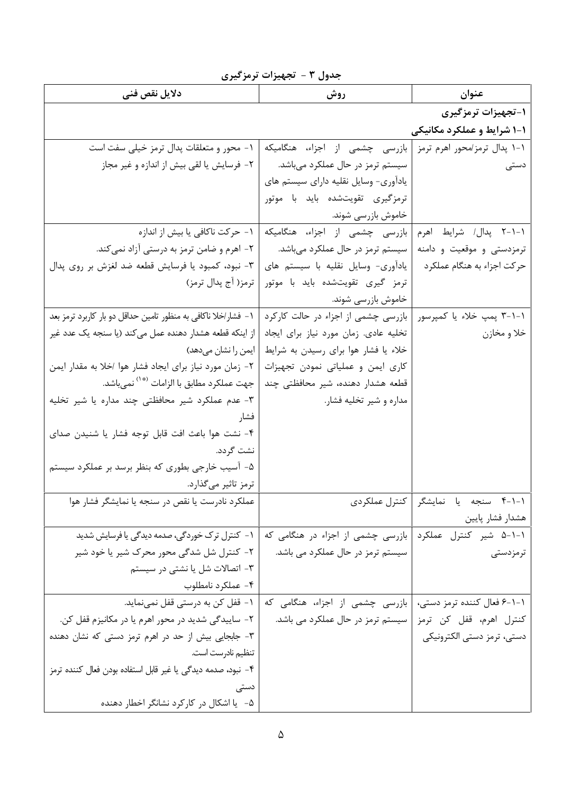| <i>ر</i> رت                                                    | <b>A</b> .<br><u>.</u> د ت            |                              |
|----------------------------------------------------------------|---------------------------------------|------------------------------|
| دلايل نقص فنى                                                  | روش                                   | عنوان                        |
|                                                                |                                       | ۱-تجهیزات ترمزگیری           |
|                                                                |                                       | ۱-۱ شرایط و عملکرد مکانیکی   |
| ۱- محور و متعلقات پدال ترمز خیلی سفت است                       | بازرسی چشمی از اجزاء، هنگامیکه        | ۱-۱ پدال ترمز/محور اهرم ترمز |
| ۲- فرسایش یا لقی بیش از اندازه و غیر مجاز                      | سیستم ترمز در حال عملکرد میباشد.      | دستی                         |
|                                                                | یادآوری- وسایل نقلیه دارای سیستم های  |                              |
|                                                                | ترمزگیری تقویتشده باید با موتور       |                              |
|                                                                | خاموش بازرسی شوند.                    |                              |
| ۱ – حرکت ناکافی یا بیش از اندازه                               | بازرسی چشمی از اجزاء، هنگامیکه        | ۱–۱–۲ پدال/ شرایط اهرم       |
| ۲- اهرم و ضامن ترمز به درستی آزاد نمیکند.                      | سیستم ترمز در حال عملکرد میباشد.      | ترمزدستی و موقعیت و دامنه    |
| ۳- نبود، کمبود یا فرسایش قطعه ضد لغزش بر روی پدال              | یادآوری- وسایل نقلیه با سیستم های     | حر کت اجزاء به هنگام عملکرد  |
| ترمز( آج پدال ترمز)                                            | ترمز گیری تقویتشده باید با موتور      |                              |
|                                                                | خاموش بازرسی شوند.                    |                              |
| ۱– فشار/خلا ناکافی به منظور تامین حداقل دو بار کاربرد ترمز بعد | بازرسی چشمی از اجزاء در حالت کارکرد   | ۰۱-۱-۳ پمپ خلاء یا کمپرسور   |
| از اینکه قطعه هشدار دهنده عمل میکند (یا سنجه یک عدد غیر        | تخلیه عادی. زمان مورد نیاز برای ایجاد | خلا و مخازن                  |
| ایمن را نشان میدهد)                                            | خلاء یا فشار هوا برای رسیدن به شرایط  |                              |
| ۲- زمان مورد نیاز برای ایجاد فشار هوا اخلا به مقدار ایمن       | کاری ایمن و عملیاتی نمودن تجهیزات     |                              |
| جهت عملكرد مطابق با الزامات <sup>(*</sup> `` نمىباشد.          | قطعه هشدار دهنده، شیر محافظتی چند     |                              |
| ۳- عدم عملکرد شیر محافظتی چند مداره یا شیر تخلیه               | مداره و شیر تخلیه فشار.               |                              |
| فشار                                                           |                                       |                              |
| ۴- نشت هوا باعث افت قابل توجه فشار یا شنیدن صدای               |                                       |                              |
| نشت گردد.                                                      |                                       |                              |
| ۵- آسیب خارجی بطوری که بنظر برسد بر عملکرد سیستم               |                                       |                              |
| ترمز تاثیر میگذارد.                                            |                                       |                              |
| عملکرد نادرست یا نقص در سنجه یا نمایشگر فشار هوا               | كنترل عملكردى                         | ۰۱–۴ سنجه یا نمایشگر         |
|                                                                |                                       | هشدار فشار پايين             |
| ۱- کنترل ترک خوردگی، صدمه دیدگی یا فرسایش شدید                 | بازرسی چشمی از اجزاء در هنگامی که     | ۱-۱-۵ شیر کنترل عملکرد       |
| ۲- کنترل شل شدگی محور محرک شیر یا خود شیر                      | سیستم ترمز در حال عملکرد می باشد.     | ترمزدستى                     |
| ۳- اتصالات شل یا نشتی در سیستم                                 |                                       |                              |
| ۴- عملکرد نامطلوب                                              |                                       |                              |
| ۱ – قفل کن به درستی قفل نمینماید.                              | بازرسی چشمی از اجزاء، هنگامی که       | ۱–۱–۶ فعال کننده ترمز دستی،  |
| ۲- ساییدگی شدید در محور اهرم یا در مکانیزم قفل کن.             | سیستم ترمز در حال عملکرد می باشد.     | كنترل اهرم، قفل كن ترمز      |
| ۳- جابجایی بیش از حد در اهرم ترمز دستی که نشان دهنده           |                                       | دستی، ترمز دستی الکترونیکی   |
| تنظيم نادرست است.                                              |                                       |                              |
| ۴– نبود، صدمه دیدگی یا غیر قابل استفاده بودن فعال کننده ترمز   |                                       |                              |
| دستی                                                           |                                       |                              |
| ۵-۔ یا اشکال در کارکرد نشانگر اخطار دهنده                      |                                       |                              |

جدول ٣ - تجهيزات ترمزگيري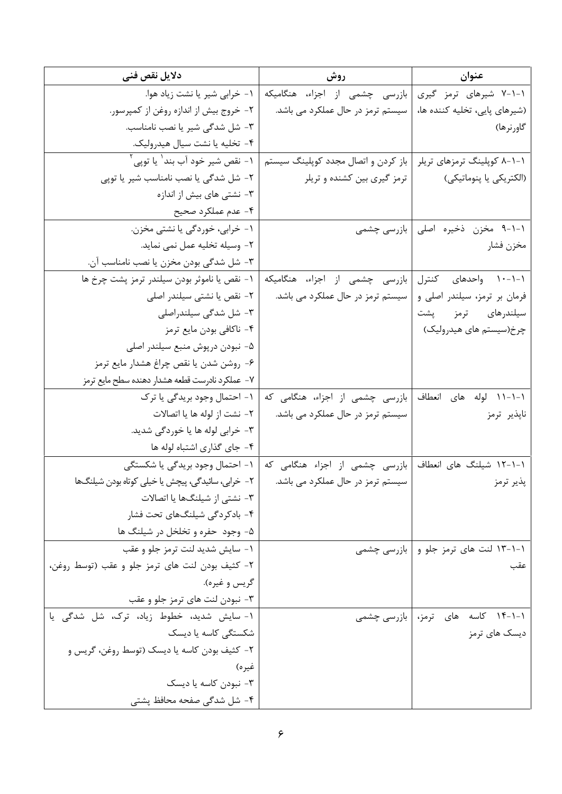| دلايل نقص فنى                                              | روش                                                     | عنوان                                |
|------------------------------------------------------------|---------------------------------------------------------|--------------------------------------|
| ۰۱ خرابی شیر یا نشت زیاد هوا.                              | بازرسی چشمی از اجزاء، هنگامیکه                          | ۰۱-۱-۷ شیرهای ترمز گیری              |
| ۲- خروج بیش از اندازه روغن از کمپرسور.                     | سیستم ترمز در حال عملکرد می باشد.                       | (شیرهای پایی، تخلیه کننده ها،        |
| ٣- شل شدگی شیر یا نصب نامناسب.                             |                                                         | گاورنرها)                            |
| ۴- تخلیه یا نشت سیال هیدرولیک.                             |                                                         |                                      |
| ـ ۱ - نقص شير خود آب بند <sup>\</sup> يا توپي <sup>۲</sup> | باز کردن و اتصال مجدد کوپلینگ سیستم                     | ۱-۱-۸ کوپلینگ ترمزهای تریلر          |
| ٢- شل شدگی یا نصب نامناسب شیر یا توپی                      | ترمز گیری بین کشنده و تریلر                             | (الكتريكي يا پنوماتيكي)              |
| ۳- نشتی های بیش از اندازه                                  |                                                         |                                      |
| ۴- عدم عملکرد صحیح                                         |                                                         |                                      |
| ۱- خرابی، خوردگی یا نشتی مخزن.                             |                                                         | ۰۱-۱-۹ مخزن ذخیره اصلی   بازرسی چشمی |
| ٢- وسيله تخليه عمل نمي نمايد.                              |                                                         | مخزن فشار                            |
| ۳- شل شدگی بودن مخزن یا نصب نامناسب آن.                    |                                                         |                                      |
| ١- نقص يا ناموثر بودن سيلندر ترمز پشت چرخ ها               | بازرسی چشمی از اجزاء، هنگامیکه                          | ۰-۱-۱۰ واحدهای کنترل                 |
| ٢- نقص یا نشتی سیلندر اصلی                                 | سیستم ترمز در حال عملکرد می باشد.                       | فرمان بر ترمز، سیلندر اصلی و         |
| ۳- شل شدگی سیلندراصلی                                      |                                                         | سیلندرهای ترمز پشت                   |
| ۴- ناكافي بودن مايع ترمز                                   |                                                         | چرخ(سیستم های هیدرولیک)              |
| ۵– نبودن درپوش منبع سیلندر اصلی                            |                                                         |                                      |
| ۶- روشن شدن يا نقص چراغ هشدار مايع ترمز                    |                                                         |                                      |
| ٧– عملكرد نادرست قطعه هشدار دهنده سطح مايع ترمز            |                                                         |                                      |
| ۱- احتمال وجود بريدگي يا ترک                               | ۱-۱-۱۱ لوله های انعطاف  بازرسی چشمی از اجزاء، هنگامی که |                                      |
| ٢- نشت از لوله ها يا اتصالات                               | سیستم ترمز در حال عملکرد می باشد.                       | ناپذیر ترمز                          |
| ۳- خرابي لوله ها يا خوردگي شديد.                           |                                                         |                                      |
| ۴- جای گذاری اشتباه لوله ها                                |                                                         |                                      |
| ۱- احتمال وجود بریدگی یا شکستگی                            | بازرسی چشمی از اجزاء هنگامی که                          | ۱–۱–۱۲ شیلنگ های انعطاف              |
| ٢- خرابي، سائيدگي، پيچش يا خيلي كوتاه بودن شيلنگها         | سیستم ترمز در حال عملکرد می باشد.                       | پذیر ترمز                            |
| ۳- نشتی از شیلنگها یا اتصالات                              |                                                         |                                      |
| ۴- بادکردگی شیلنگهای تحت فشار                              |                                                         |                                      |
| ۵- وجود حفره و تخلخل در شیلنگ ها                           |                                                         |                                      |
| ١- سايش شديد لنت ترمز جلو و عقب                            | بازرسی چشمی                                             | ۱–۱–۱۳ لنت های ترمز جلو و            |
| ٢- كثيف بودن لنت هاى ترمز جلو و عقب (توسط روغن،            |                                                         | عقب                                  |
| گريس و غيره).                                              |                                                         |                                      |
| ۳- نبودن لنت های ترمز جلو و عقب                            |                                                         |                                      |
| ١- سايش شديد، خطوط زياد، ترک، شل شدگی يا                   | بازرسی چشمی                                             | ۰-۱-۱۴ کاسه های ترمز،                |
| شکستگی کاسه یا دیسک                                        |                                                         | دیسک های ترمز                        |
| ۲- کثیف بودن کاسه یا دیسک (توسط روغن، گریس و               |                                                         |                                      |
| غيره)                                                      |                                                         |                                      |
| ۳- نبودن کاسه یا دیسک                                      |                                                         |                                      |
| ۴- شل شدگی صفحه محافظ پشتی                                 |                                                         |                                      |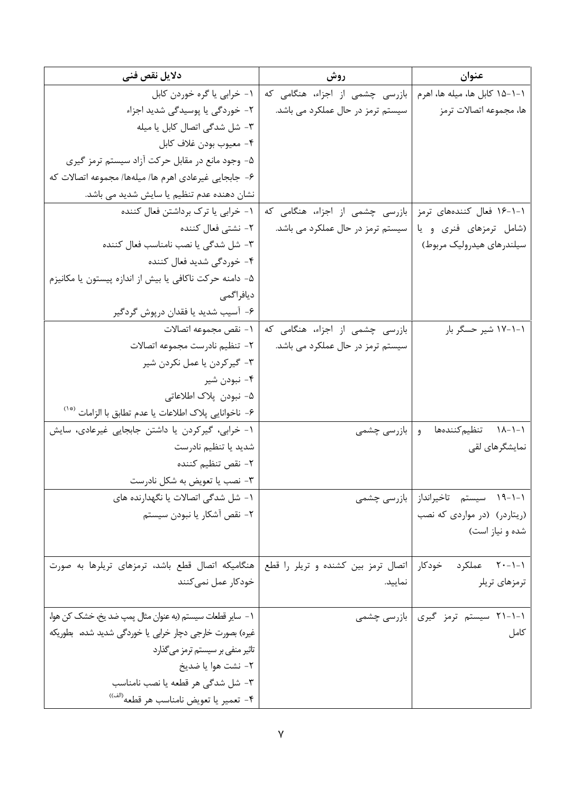| دلایل نقص فنی                                                                                                 | روش                                                             | عنوان                                 |
|---------------------------------------------------------------------------------------------------------------|-----------------------------------------------------------------|---------------------------------------|
| ۱- خرابی یا گره خوردن کابل                                                                                    | ۱–۱–۱۵ کابل ها، میله ها، اهرم   بازرسی چشمی از اجزاء، هنگامی که |                                       |
| ۲- خوردگی یا پوسیدگی شدید اجزاء                                                                               | سیستم ترمز در حال عملکرد می باشد.                               | ها، مجموعه اتصالات ترمز               |
| ٣- شل شدگی اتصال کابل یا میله                                                                                 |                                                                 |                                       |
| ۴– معيوب بودن غلاف كابل                                                                                       |                                                                 |                                       |
| ۵- وجود مانع در مقابل حرکت آزاد سیستم ترمز گیری                                                               |                                                                 |                                       |
| ۶- جابجايي غيرعادي اهرم ها/ ميلهها/ مجموعه اتصالات كه                                                         |                                                                 |                                       |
| نشان دهنده عدم تنظیم یا سایش شدید می باشد.                                                                    |                                                                 |                                       |
| ۱- خرابی یا ترک برداشتن فعال کننده                                                                            | بازرسی چشمی از اجزاء، هنگامی که                                 | ۱-۱-۱۶ فعال کنندههای ترمز             |
| ۲– نشتی فعال کننده                                                                                            | (شامل ترمزهای فنری و یا   سیستم ترمز در حال عملکرد می باشد.     |                                       |
| ٣- شل شدگی یا نصب نامناسب فعال کننده                                                                          |                                                                 | سیلندرهای هیدرولیک مربوط)             |
| ۴- خوردگی شدید فعال کننده                                                                                     |                                                                 |                                       |
| ۵– دامنه حرکت ناکافی یا بیش از اندازه پیستون یا مکانیزم                                                       |                                                                 |                                       |
| ديافراگمي                                                                                                     |                                                                 |                                       |
| ۶- آسیب شدید یا فقدان درپوش گردگیر                                                                            |                                                                 |                                       |
| ١- نقص مجموعه اتصالات                                                                                         | بازرسی چشمی از اجزاء، هنگامی که                                 | ۱–۱–۱۷ شیر حسگر بار                   |
| ٢- تنظيم نادرست مجموعه اتصالات                                                                                | سیستم ترمز در حال عملکرد می باشد.                               |                                       |
| ۳- گیرکردن یا عمل نکردن شیر                                                                                   |                                                                 |                                       |
| ۴- نبودن شير                                                                                                  |                                                                 |                                       |
| ۵– نبودن  پلاک اطلاعاتی                                                                                       |                                                                 |                                       |
| ۶– ناخوانايي پلاک اطلاعات يا عدم تطابق با الزامات <sup>(*</sup> ')                                            |                                                                 |                                       |
| ١- خرابي، گيركردن يا داشتن جابجايي غيرعادي، سايش                                                              | و   بازرسی چشمی                                                 | ۰۱–۱۸–۱۸ تنظیم کنندهها                |
| شدید یا تنظیم نادرست                                                                                          |                                                                 | نمایشگرهای لقی                        |
| ٢- نقص تنظيم كننده                                                                                            |                                                                 |                                       |
| ۳- نصب یا تعویض به شکل نادرست                                                                                 |                                                                 |                                       |
| ۱- شل شدگی اتصالات یا نگهدارنده های                                                                           |                                                                 | ۱-۱-۱۹ سیستم تاخیرانداز   بازرسی چشمی |
| ٢- نقص آشكار يا نبودن سيستم                                                                                   |                                                                 | (ریتاردر) (در مواردی که نصب           |
|                                                                                                               |                                                                 | شده و نیاز است)                       |
|                                                                                                               |                                                                 |                                       |
| ۱-۱-۲۰ عملکرد حودکار   اتصال ترمز بین کشنده و تریلر را قطع   هنگامیکه اتصال قطع باشد، ترمزهای تریلرها به صورت |                                                                 |                                       |
| خودکار عمل نمیکنند                                                                                            | نمایید.                                                         | ترمزهای تریلر                         |
| ١ – ساير قطعات سيستم (به عنوان مثال پمپ ضد يخ، خشک کن هوا،                                                    |                                                                 | ۱-۱-۲۱ سیستم ترمز گیری   بازرسی چشمی  |
| غیرہ) بصورت خارجی دچار خرابی یا خوردگی شدید شدہ، بطوریکه                                                      |                                                                 | كامل                                  |
| تاثیر منفی بر سیستم ترمز میگذارد                                                                              |                                                                 |                                       |
| ٢- نشت هوا يا ضديخ                                                                                            |                                                                 |                                       |
| ٣- شل شدگی هر قطعه یا نصب نامناسب                                                                             |                                                                 |                                       |
| ۴- تعمير يا تعويض نامناسب هر قطعه <sup>(الف))</sup>                                                           |                                                                 |                                       |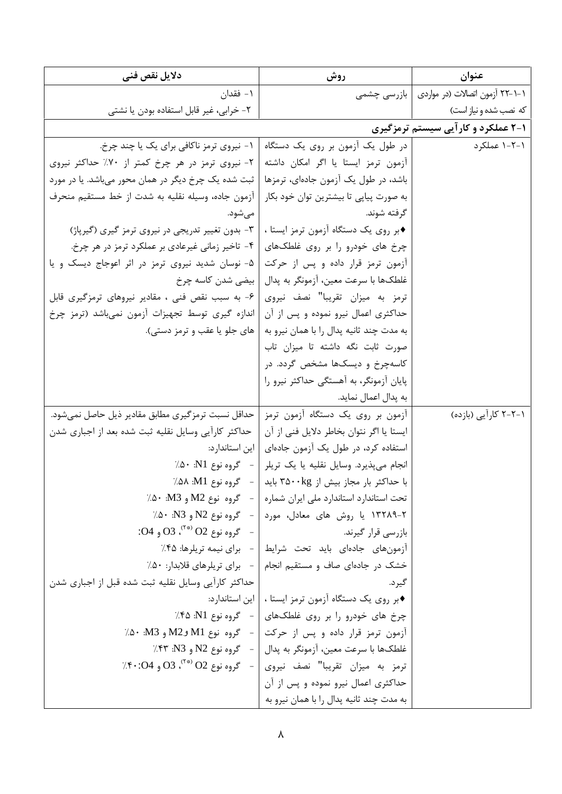| دلایل نقص فنی                                                                                                | روش                                                               | عنوان                                         |
|--------------------------------------------------------------------------------------------------------------|-------------------------------------------------------------------|-----------------------------------------------|
| ۱– فقدان                                                                                                     |                                                                   | ۱–۱–۲۲ آزمون اتصالات (در مواردی   بازرسی چشمی |
| ۲- خرابی، غیر قابل استفاده بودن یا نشتی                                                                      |                                                                   | که نصب شده و نیاز است)                        |
|                                                                                                              |                                                                   | ۱-۲ عملکرد و کارآیی سیستم ترمزگیری            |
| ۱- نیروی ترمز ناکافی برای یک یا چند چرخ.                                                                     | در طول یک آزمون بر روی یک دستگاه                                  | ۱-۲-۱ عملکرد                                  |
| ٢- نيروى ترمز در هر چرخ كمتر از ٧٠٪ حداكثر نيروى                                                             | آزمون ترمز ايستا يا اگر امكان داشته                               |                                               |
| ثبت شده یک چرخ دیگر در همان محور میباشد. یا در مورد                                                          | باشد، در طول یک آزمون جادهای، ترمزها                              |                                               |
| آزمون جاده، وسيله نقليه به شدت از خط مستقيم منحرف                                                            | به صورت پیاپی تا بیشترین توان خود بکار                            |                                               |
| مي شود.                                                                                                      | گر فته شوند.                                                      |                                               |
| ۳- بدون تغییر تدریجی در نیروی ترمز گیری (گیرپاژ)                                                             | ♦بر روى يک دستگاه آزمون ترمز ايستا ،                              |                                               |
| ۴- تاخیر زمانی غیرعادی بر عملکرد ترمز در هر چرخ.                                                             | چرخ های خودرو را بر روی غلطکهای                                   |                                               |
| ۵- نوسان شدید نیروی ترمز در اثر اعوجاج دیسک و یا                                                             | آزمون ترمز قرار داده و پس از حرکت                                 |                                               |
| بیضی شدن کاسه چرخ                                                                                            | غلطکها با سرعت معین، آزمونگر به پدال                              |                                               |
| ۶- به سبب نقص فنی ، مقادیر نیروهای ترمزگیری قابل                                                             | ترمز به میزان تقریبا" نصف نیروی                                   |                                               |
| اندازه گیری توسط تجهیزات آزمون نمیباشد (ترمز چرخ                                                             | حداکثری اعمال نیرو نموده و پس از آن                               |                                               |
| های جلو یا عقب و ترمز دستی).                                                                                 | به مدت چند ثانیه پدال را با همان نیرو به                          |                                               |
|                                                                                                              | صورت ثابت نگه داشته تا میزان تاب                                  |                                               |
|                                                                                                              | کاسهچرخ و دیسکها مشخص گردد. در                                    |                                               |
|                                                                                                              | پایان آزمونگر، به آهستگی حداکثر نیرو را                           |                                               |
|                                                                                                              | به پدال اعمال نماید.                                              |                                               |
| حداقل نسبت ترمزگیری مطابق مقادیر ذیل حاصل نمیشود.                                                            | آزمون بر روی یک دستگاه آزمون ترمز                                 | ۱–۲–۲ کارآیی (بازده)                          |
| حداکثر کارآیی وسایل نقلیه ثبت شده بعد از اجباری شدن                                                          | ايستا يا اگر نتوان بخاطر دلايل فني از آن                          |                                               |
| این استاندارد:                                                                                               | استفاده کرد، در طول یک آزمون جادهای                               |                                               |
| − گروه نوع N1: ۰∆٪                                                                                           | انجام میپذیرد. وسایل نقلیه یا یک تریلر                            |                                               |
| - گروه نوع M1: ۸۵۸٪                                                                                          | با حداکثر بار مجاز بیش از ۳۵۰۰kg باید                             |                                               |
|                                                                                                              | تحت استاندارد استاندارد ملی ایران شماره   - گروه نوع M2 و M3: ۵۰٪ |                                               |
|                                                                                                              | ۲-۱۳۲۸۹ یا روش های معادل، مورد   - گروه نوع N2 و N3· .N3٪         |                                               |
| $SO4$ وه نوع 02 $O2$ و 04:                                                                                   | بازرسی قرار گیرند.                                                |                                               |
|                                                                                                              | آزمونهای جادهای باید تحت شرایط   - برای نیمه تریلرها: ۴۵٪         |                                               |
|                                                                                                              | خشک در جادهای صاف و مستقیم انجام   - برای تریلرهای قلابدار: ۵۰٪   |                                               |
| حداکثر کارآیی وسایل نقلیه ثبت شده قبل از اجباری شدن                                                          | گير د.                                                            |                                               |
|                                                                                                              | ♦بر روى يک دستگاه آزمون ترمز ايستا ،   اين استاندارد:             |                                               |
|                                                                                                              | چرخ های خودرو را بر روی غلطکهای   - گروه نوع N1: ۴۵٪              |                                               |
|                                                                                                              | آزمون ترمز قرار داده و پس از حرکت   - گروه نوع M1 وM2 و M3./` ۵۰٪ |                                               |
|                                                                                                              | غلطکها با سرعت معین، آزمونگر به پدال   -   گروه نوع N2 و N3: ۴۳٪  |                                               |
| $\left  \cdot \right\rangle$ گروه نوع 02 $\left  \cdot \right\rangle$ ، 03 و 04 $\left  \cdot \right\rangle$ | ترمز به میزان تقریبا" نصف نیروی                                   |                                               |
|                                                                                                              | حداکثری اعمال نیرو نموده و پس از آن                               |                                               |
|                                                                                                              | به مدت چند ثانیه پدال را با همان نیرو به                          |                                               |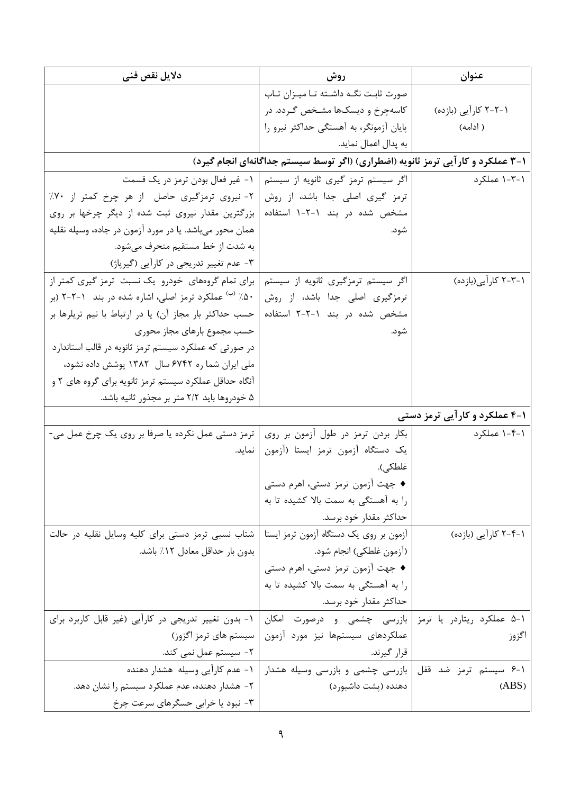| دلایل نقص فنی                                                   | روش                                                                             | عنوان                         |
|-----------------------------------------------------------------|---------------------------------------------------------------------------------|-------------------------------|
|                                                                 | صورت ثابت نگــه داشــته تــا ميــزان تــاب                                      |                               |
|                                                                 | کاسهچرخ و دیسکها مشخص گـردد. در                                                 | ۱–۲–۲ کارآیی (بازده)          |
|                                                                 | پایان آزمونگر، به آهستگی حداکثر نیرو را                                         | ( ادامه)                      |
|                                                                 | به پدال اعمال نماید.                                                            |                               |
|                                                                 | ۱-۳ عملکرد و کارآیی ترمز ثانویه (اضطراری) (اگر توسط سیستم جداگانهای انجام گیرد) |                               |
|                                                                 | اگر سیستم ترمز گیری ثانویه از سیستم   ۱- غیر فعال بودن ترمز در یک قسمت          | ۰۱–۱–۱ عملکر د                |
| ٢- نيروى ترمزگيرى حاصل از هر چرخ كمتر از ٧٠٪                    | ترمز گیری اصلی جدا باشد، از روش                                                 |                               |
| بزرگترین مقدار نیروی ثبت شده از دیگر چرخها بر روی               | مشخص شده در بند ۱-۲-۱ استفاده                                                   |                               |
| همان محور میباشد. یا در مورد آزمون در جاده، وسیله نقلیه         | شود.                                                                            |                               |
| به شدت از خط مستقیم منحرف میشود.                                |                                                                                 |                               |
| ۳- عدم تغییر تدریجی در کارآیی (گیرپاژ)                          |                                                                                 |                               |
| برای تمام گروههای خودرو یک نسبت ترمز گیری کمتر از               | اگر سیستم ترمزگیری ثانویه از سیستم                                              | ۱–۲–۲ کار آیی(بازده)          |
| ۵۰٪ <sup>(ب)</sup> عملکرد ترمز اصلی، اشاره شده در بند ۲-۲-۲ (بر | ترمزگیری اصلی جدا باشد، از روش                                                  |                               |
| حسب حداکثر بار مجاز آن) یا در ارتباط با نیم تریلرها بر          | مشخص شده در بند ۱-۲-۲ استفاده                                                   |                               |
| حسب مجموع بارهاى مجاز محورى                                     | شود.                                                                            |                               |
| در صورتی که عملکرد سیستم ترمز ثانویه در قالب استاندارد          |                                                                                 |                               |
| ملی ایران شما ره ۶۷۴۲ سال ۱۳۸۲ پوشش داده نشود،                  |                                                                                 |                               |
| آنگاه حداقل عملکرد سیستم ترمز ثانویه برای گروه های ۲ و          |                                                                                 |                               |
| ۵ خودروها باید ۲/۲ متر بر مجذور ثانیه باشد.                     |                                                                                 |                               |
|                                                                 |                                                                                 | ۱-۴ عملکرد و کارآیی ترمز دستی |
| ترمز دستی عمل نکرده یا صرفا بر روی یک چرخ عمل می-               | بکار بردن ترمز در طول آزمون بر روی                                              | ۰۱-۴-۱ عملکرد                 |
| نماید.                                                          | یک دستگاه آزمون ترمز ایستا (آزمون                                               |                               |
|                                                                 | غلطكي).                                                                         |                               |
|                                                                 | ♦ جهت آزمون ترمز دستی، اهرم دستی                                                |                               |
|                                                                 | را به آهستگی به سمت بالا کشیده تا به                                            |                               |
|                                                                 | حداكثر مقدار خود برسد.                                                          |                               |
| شتاب نسبی ترمز دستی برای کلیه وسایل نقلیه در حالت               | آزمون بر روی یک دستگاه آزمون ترمز ایستا                                         | ۱–۲–۲ کارآیی (بازده)          |
| بدون بار حداقل معادل ۱۲٪ باشد.                                  | (أزمون غلطكي) انجام شود.                                                        |                               |
|                                                                 | ♦ جهت آزمون ترمز دستی، اهرم دستی                                                |                               |
|                                                                 | را به آهستگی به سمت بالا کشیده تا به                                            |                               |
|                                                                 | حداكثر مقدار خود برسد.                                                          |                               |
| ۱- بدون تغییر تدریجی در کاراًیی (غیر قابل کاربرد برای           | ۰۱–۵ عملکرد ریتاردر یا ترمز   بازرسی چشمی و درصورت امکان                        |                               |
| سیستم های ترمز اگزوز)                                           | عملکردهای سیستمها نیز مورد آزمون                                                | اگزوز                         |
| ۲- سیستم عمل نمی کند.                                           | قرار گیرند.                                                                     |                               |
| ۱- عدم کارآیی وسیله هشدار دهنده                                 | بازرسی چشمی و بازرسی وسیله هشدار                                                | ۰۱–۶ سیستم ترمز ضد قفل        |
| ۲- هشدار دهنده، عدم عملکرد سیستم را نشان دهد.                   | دهنده (پشت داشبورد)                                                             | (ABS)                         |
| ۳- نبود یا خرابی حسگرهای سرعت چرخ                               |                                                                                 |                               |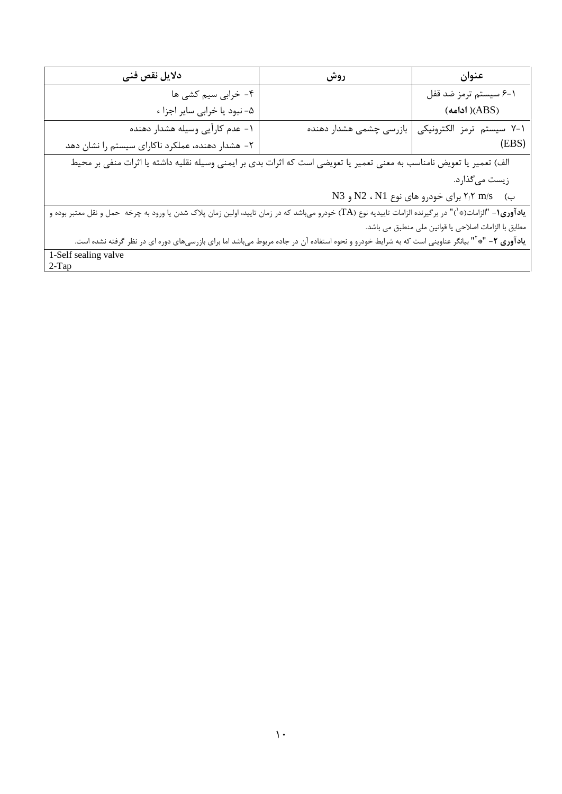| دلايل نقص فنى                                                                                                                                                       | روش                     | عنوان                      |
|---------------------------------------------------------------------------------------------------------------------------------------------------------------------|-------------------------|----------------------------|
| ۴- خرابی سیم کشی ها                                                                                                                                                 |                         | ۰-۶ سیستم ترمز ضد قفل      |
| ۵- نبود یا خرابی سایر اجزا ء                                                                                                                                        |                         | $(ABS)$ ( ادامه)           |
| ١- عدم كارآيي وسيله هشدار دهنده                                                                                                                                     | بازرسی چشمی هشدار دهنده | ۰۱–۷ سیستم ترمز الکترونیکی |
| ۲- هشدار دهنده، عملکرد ناکارای سیستم را نشان دهد                                                                                                                    |                         | (EBS)                      |
| الف) تعمیر یا تعویض نامناسب به معنی تعمیر یا تعویضی است که اثرات بدی بر ایمنی وسیله نقلیه داشته یا اثرات منفی بر محیط                                               |                         |                            |
| زيست ميگذارد.                                                                                                                                                       |                         |                            |
| ب) 7,۲ m/s برای خودرو های نوع N2 ، N1 و N3                                                                                                                          |                         |                            |
| <b>یادآوری۱</b> - "الزامات(*`)" در برگیرنده الزامات تاییدیه نوع (TA) خودرو میباشد که در زمان تایید، اولین زمان پلاک شدن یا ورود به چرخه حمل و نقل معتبر بوده و      |                         |                            |
| مطابق با الزامات اصلاحی یا قوانین ملی منطبق می باشد.                                                                                                                |                         |                            |
| ی <b>ادآوری ۲</b> – "* <sup>۲</sup> " بیانگر عناوینی است که به شرایط خودرو و نحوه استفاده آن در جاده مربوط میباشد اما برای بازرسیهای دوره ای در نظر گرفته نشده است. |                         |                            |
| 1-Self sealing valve                                                                                                                                                |                         |                            |
| $2-Tap$                                                                                                                                                             |                         |                            |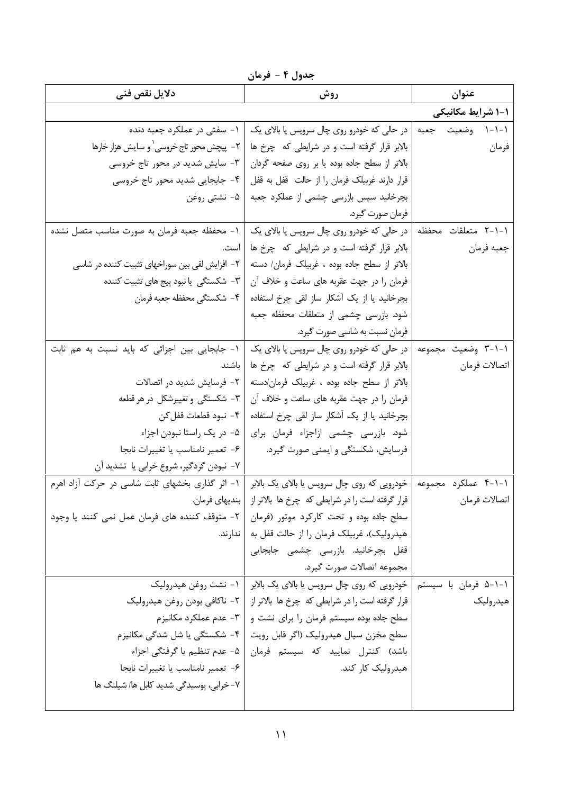جدول ۴ - فرمان

| دلايل نقص فنى                                   | روش                                                                | عنوان                |
|-------------------------------------------------|--------------------------------------------------------------------|----------------------|
|                                                 |                                                                    | 1-1 شرایط مکانیکی    |
| ۱- سفتی در عملکرد جعبه دنده                     | ۱-۱-۱ وضعیت حجعبه   در حالی که خودرو روی چال سرویس یا بالای یک     |                      |
| ٢- پيچش محور تاج خروسي`و سايش هزار خارها        | بالابر قرار گرفته است و در شرایطی که چرخ ها                        | فرمان                |
| ۳- سایش شدید در محور تاج خروسی                  | بالاتر از سطح جاده بوده یا بر روی صفحه گردان                       |                      |
| ۴- جابجایی شدید محور تاج خروسی                  | قرار دارند غربیلک فرمان را از حالت قفل به قفل                      |                      |
| ∆− نشتی روغن                                    | بچرخانید سپس بازرسی چشمی از عملکرد جعبه                            |                      |
|                                                 | فرمان صورت گيرد.                                                   |                      |
| ١- محفظه جعبه فرمان به صورت مناسب متصل نشده     | ۱–۱–۲ متعلقات محفظه   در حالی که خودرو روی چال سرویس یا بالای یک   |                      |
| است.                                            | بالابر قرار گرفته است و در شرایطی که چرخ ها                        | جعبه فرمان           |
| ۲– افزایش لقی بین سوراخهای تثبیت کننده در شاسی  | بالاتر از سطح جاده بوده ، غربیلک فرمان/ دسته                       |                      |
| ۳- شکستگی یا نبود پیچ های تثبیت کننده           | فرمان را در جهت عقربه های ساعت و خلاف آن                           |                      |
| ۴- شكستگي محفظه جعبه فرمان                      | بچرخانید یا از یک آشکار ساز لقی چرخ استفاده                        |                      |
|                                                 | شود. بازرسی چشمی از متعلقات محفظه جعبه                             |                      |
|                                                 | فرمان نسبت به شاسی صورت گیرد.                                      |                      |
| ١- جابجايي بين اجزائي كه بايد نسبت به هم ثابت   | در حالي كه خودرو روى چال سرويس يا بالاي يک                         | ۰۱–۲ وضعیت مجموعه    |
| باشند                                           | بالابر قرار گرفته است و در شرایطی که چرخ ها                        | اتصالات فرمان        |
| ٢- فرسايش شديد در اتصالات                       | بالاتر از سطح جاده بوده ، غربيلک فرمان/دسته                        |                      |
| ۳- شکستگی و تغییرشکل در هر قطعه                 | فرمان را در جهت عقربه های ساعت و خلاف آن                           |                      |
| ۴– نبود قطعات قفل کن                            | بچرخانید یا از یک آشکار ساز لقی چرخ استفاده                        |                      |
| ۵– در یک راستا نبودن اجزاء                      | شود. بازرسی چشمی ازاجزاء فرمان برای                                |                      |
| ۶- تعمير نامناسب يا تغييرات نابجا               | فرسایش، شکستگی و ایمنی صورت گیرد.                                  |                      |
| ۷- نبودن گردگیر، شروع خرابی یا  تشدید آن        |                                                                    |                      |
| ۱- اثر گذاری بخشهای ثابت شاسی در حرکت آزاد اهرم | خودرویی که روی چال سرویس یا بالای یک بالابر                        | ۰۱-۱-۴ عملکرد مجموعه |
| بندیهای فرمان.                                  | قرار گرفته است را در شرایطی که  چرخ ها بالاتر از                   | اتصالات فرمان        |
| ۲- متوقف کننده های فرمان عمل نمی کنند یا وجود   | سطح جاده بوده و تحت کارکرد موتور (فرمان                            |                      |
| ندارند.                                         | هیدرولیک)، غربیلک فرمان را از حالت قفل به                          |                      |
|                                                 | قفل بچرخانید. بازرسی چشمی جابجایی                                  |                      |
|                                                 | مجموعه اتصالات صورت گيرد.                                          |                      |
| ۱- نشت روغن هيدروليک                            | ۱–۱–۵ فرمان با سیستم   خودرویی که روی چال سرویس یا بالای یک بالابر |                      |
| ۲– ناکافی بودن روغن هیدرولیک                    | قرار گرفته است را در شرایطی که چرخ ها بالاتر از                    | هيدروليك             |
| ۳- عدم عملکرد مکانیزم                           | سطح جاده بوده سیستم فرمان را برای نشت و                            |                      |
| ۴- شکستگی یا شل شدگی مکانیزم                    | سطح مخزن سيال هيدروليک (اگر قابل رويت                              |                      |
| ۵− عدم تنظیم یا گرفتگی اجزاء                    | باشد) کنترل نمایید که سیستم فرمان                                  |                      |
| ۶- تعمیر نامناسب یا تغییرات نابجا               | هیدرولیک کار کند.                                                  |                      |
| ۷- خرابی، پوسیدگی شدید کابل ها/ شیلنگ ها        |                                                                    |                      |
|                                                 |                                                                    |                      |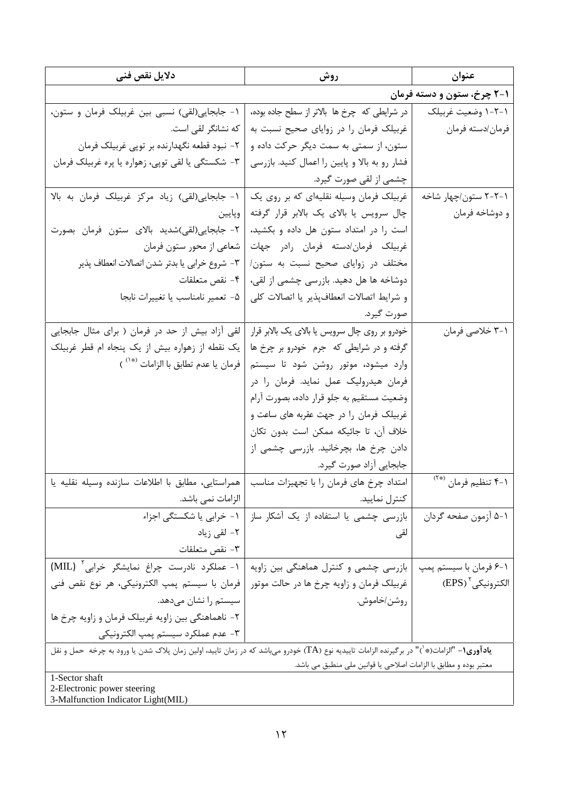| ۱-۲ چرخ، ستون و دسته فرمان<br>در شرایطی که چرخ ها بالاتر از سطح جاده بوده،<br>١-٢-١ وضعيت غربيلك<br>۱- جابجایی(لقی) نسبی بین غربیلک فرمان و ستون،<br>غربیلک فرمان را در زوایای صحیح نسبت به<br>كه نشانگر لقى است.<br>فرمان/دسته فرمان<br>۲- نبود قطعه نگهدارنده بر توپی غربیلک فرمان<br>ستون، از سمتی به سمت دیگر حرکت داده و<br>۳- شکستگی یا لقی توپی، زهواره یا پره غربیلک فرمان<br>فشار رو به بالا و پایین را اعمال کنید. بازرسی<br>چشمی از لقی صورت گیرد.<br>١- جابجايى(لقى) زياد مركز غربيلك فرمان به بالا<br>غربیلک فرمان وسیله نقلیهای که بر روی یک<br>۲–۲–۲ ستون/چهار شاخه<br>چال سرویس یا بالای یک بالابر قرار گرفته<br>و دوشاخه فرمان<br>وپايين<br>٢- جابجايي(لقي)شديد بالاي ستون فرمان بصورت<br>است را در امتداد ستون هل داده و بکشید،<br>غربیلک فرمان/دسته فرمان رادر جهات<br>شعاعی از محور ستون فرمان<br>٣- شروع خرابي يا بدتر شدن اتصالات انعطاف پذير<br>مختلف در زوایای صحیح نسبت به ستون/<br>دوشاخه ها هل دهید. بازرسی چشمی از لقی،<br>۴- نقص متعلقات<br>۵- تعمير نامناسب يا تغييرات نابجا<br>و شرايط اتصالات انعطافپذير يا اتصالات كلي<br>صورت گیرد.<br>لقی اَزاد بیش از حد در فرمان ( برای مثال جابجایی<br>خودرو بر روی چال سرویس یا بالای یک بالابر قرار<br>۰۱–۳ خلاصي فرمان<br>گرفته و در شرایطی که جرم خودرو بر چرخ ها<br>یک نقطه از زهواره بیش از یک پنجاه ام قطر غربیلک<br>فرمان يا عدم تطابق با الزامات <sup>(*</sup> ` )<br>وارد میشود، موتور روشن شود تا سیستم<br>فرمان هیدرولیک عمل نماید. فرمان را در<br>وضعیت مستقیم به جلو قرار داده، بصورت آرام<br>غربیلک فرمان را در جهت عقربه های ساعت و<br>خلاف آن، تا جائيكه ممكن است بدون تكان<br>دادن چرخ ها، بچرخانید. بازرسی چشمی از<br>جابجايي آزاد صورت گيرد.<br>۰۱–۴ تنظیم فرمان <sup>(*۲</sup> )<br>امتداد چرخ های فرمان را با تجهیزات مناسب   همراستایی، مطابق با اطلاعات سازنده وسیله نقلیه یا<br>الزامات نمي باشد.<br>كنترل نماييد.<br>۱- خرابی یا شکستگی اجزاء<br>بازرسی چشمی یا استفاده از یک آشکار ساز<br>٥-١ آزمون صفحه گردان<br>٢- لقى زياد<br>لقى<br>٣- نقص متعلقات<br>١- عملكرد نادرست چراغ نمايشگر خرابي <sup>٢</sup> (MIL)<br>بازرسی چشمی و کنترل هماهنگی بین زاویه<br>۰۱–۶ فرمان با سیستم پمپ<br>الكترونيكي ` (EPS)<br>فرمان با سیستم پمپ الکترونیکی، هر نوع نقص فنی<br>غربیلک فرمان و زاویه چرخ ها در حالت موتور<br>روشن/خاموش.<br>سیستم را نشان میدهد.<br>۲- ناهماهنگی بین زاویه غربیلک فرمان و زاویه چرخ ها<br>۳- عدم عملکرد سیستم پمپ الکترونیکی<br>ي <b>ادآوري(-</b> "الزامات(* <sup>'</sup> )" در برگيرنده الزامات تايبديه نوع (TA) خودرو مي!شد كه در زمان تاييد، اولين زمان پلاک شدن يا ورود به چرخه  حمل و نقل<br>معتبر بوده و مطابق با الزامات اصلاحی یا قوانین ملی منطبق می باشد.<br>1-Sector shaft<br>2-Electronic power steering | دلایل نقص فنی | روش | عنوان |
|--------------------------------------------------------------------------------------------------------------------------------------------------------------------------------------------------------------------------------------------------------------------------------------------------------------------------------------------------------------------------------------------------------------------------------------------------------------------------------------------------------------------------------------------------------------------------------------------------------------------------------------------------------------------------------------------------------------------------------------------------------------------------------------------------------------------------------------------------------------------------------------------------------------------------------------------------------------------------------------------------------------------------------------------------------------------------------------------------------------------------------------------------------------------------------------------------------------------------------------------------------------------------------------------------------------------------------------------------------------------------------------------------------------------------------------------------------------------------------------------------------------------------------------------------------------------------------------------------------------------------------------------------------------------------------------------------------------------------------------------------------------------------------------------------------------------------------------------------------------------------------------------------------------------------------------------------------------------------------------------------------------------------------------------------------------------------------------------------------------------------------------------------------------------------------------------------------------------------------------------------------------------------------------------------------------------------------------------------------------------------------------------------------------------------------------------------------------------------------------------------------------------------------------------------------------------------------------------------------------------------------------|---------------|-----|-------|
|                                                                                                                                                                                                                                                                                                                                                                                                                                                                                                                                                                                                                                                                                                                                                                                                                                                                                                                                                                                                                                                                                                                                                                                                                                                                                                                                                                                                                                                                                                                                                                                                                                                                                                                                                                                                                                                                                                                                                                                                                                                                                                                                                                                                                                                                                                                                                                                                                                                                                                                                                                                                                                      |               |     |       |
|                                                                                                                                                                                                                                                                                                                                                                                                                                                                                                                                                                                                                                                                                                                                                                                                                                                                                                                                                                                                                                                                                                                                                                                                                                                                                                                                                                                                                                                                                                                                                                                                                                                                                                                                                                                                                                                                                                                                                                                                                                                                                                                                                                                                                                                                                                                                                                                                                                                                                                                                                                                                                                      |               |     |       |
|                                                                                                                                                                                                                                                                                                                                                                                                                                                                                                                                                                                                                                                                                                                                                                                                                                                                                                                                                                                                                                                                                                                                                                                                                                                                                                                                                                                                                                                                                                                                                                                                                                                                                                                                                                                                                                                                                                                                                                                                                                                                                                                                                                                                                                                                                                                                                                                                                                                                                                                                                                                                                                      |               |     |       |
|                                                                                                                                                                                                                                                                                                                                                                                                                                                                                                                                                                                                                                                                                                                                                                                                                                                                                                                                                                                                                                                                                                                                                                                                                                                                                                                                                                                                                                                                                                                                                                                                                                                                                                                                                                                                                                                                                                                                                                                                                                                                                                                                                                                                                                                                                                                                                                                                                                                                                                                                                                                                                                      |               |     |       |
|                                                                                                                                                                                                                                                                                                                                                                                                                                                                                                                                                                                                                                                                                                                                                                                                                                                                                                                                                                                                                                                                                                                                                                                                                                                                                                                                                                                                                                                                                                                                                                                                                                                                                                                                                                                                                                                                                                                                                                                                                                                                                                                                                                                                                                                                                                                                                                                                                                                                                                                                                                                                                                      |               |     |       |
|                                                                                                                                                                                                                                                                                                                                                                                                                                                                                                                                                                                                                                                                                                                                                                                                                                                                                                                                                                                                                                                                                                                                                                                                                                                                                                                                                                                                                                                                                                                                                                                                                                                                                                                                                                                                                                                                                                                                                                                                                                                                                                                                                                                                                                                                                                                                                                                                                                                                                                                                                                                                                                      |               |     |       |
|                                                                                                                                                                                                                                                                                                                                                                                                                                                                                                                                                                                                                                                                                                                                                                                                                                                                                                                                                                                                                                                                                                                                                                                                                                                                                                                                                                                                                                                                                                                                                                                                                                                                                                                                                                                                                                                                                                                                                                                                                                                                                                                                                                                                                                                                                                                                                                                                                                                                                                                                                                                                                                      |               |     |       |
|                                                                                                                                                                                                                                                                                                                                                                                                                                                                                                                                                                                                                                                                                                                                                                                                                                                                                                                                                                                                                                                                                                                                                                                                                                                                                                                                                                                                                                                                                                                                                                                                                                                                                                                                                                                                                                                                                                                                                                                                                                                                                                                                                                                                                                                                                                                                                                                                                                                                                                                                                                                                                                      |               |     |       |
|                                                                                                                                                                                                                                                                                                                                                                                                                                                                                                                                                                                                                                                                                                                                                                                                                                                                                                                                                                                                                                                                                                                                                                                                                                                                                                                                                                                                                                                                                                                                                                                                                                                                                                                                                                                                                                                                                                                                                                                                                                                                                                                                                                                                                                                                                                                                                                                                                                                                                                                                                                                                                                      |               |     |       |
|                                                                                                                                                                                                                                                                                                                                                                                                                                                                                                                                                                                                                                                                                                                                                                                                                                                                                                                                                                                                                                                                                                                                                                                                                                                                                                                                                                                                                                                                                                                                                                                                                                                                                                                                                                                                                                                                                                                                                                                                                                                                                                                                                                                                                                                                                                                                                                                                                                                                                                                                                                                                                                      |               |     |       |
|                                                                                                                                                                                                                                                                                                                                                                                                                                                                                                                                                                                                                                                                                                                                                                                                                                                                                                                                                                                                                                                                                                                                                                                                                                                                                                                                                                                                                                                                                                                                                                                                                                                                                                                                                                                                                                                                                                                                                                                                                                                                                                                                                                                                                                                                                                                                                                                                                                                                                                                                                                                                                                      |               |     |       |
|                                                                                                                                                                                                                                                                                                                                                                                                                                                                                                                                                                                                                                                                                                                                                                                                                                                                                                                                                                                                                                                                                                                                                                                                                                                                                                                                                                                                                                                                                                                                                                                                                                                                                                                                                                                                                                                                                                                                                                                                                                                                                                                                                                                                                                                                                                                                                                                                                                                                                                                                                                                                                                      |               |     |       |
|                                                                                                                                                                                                                                                                                                                                                                                                                                                                                                                                                                                                                                                                                                                                                                                                                                                                                                                                                                                                                                                                                                                                                                                                                                                                                                                                                                                                                                                                                                                                                                                                                                                                                                                                                                                                                                                                                                                                                                                                                                                                                                                                                                                                                                                                                                                                                                                                                                                                                                                                                                                                                                      |               |     |       |
|                                                                                                                                                                                                                                                                                                                                                                                                                                                                                                                                                                                                                                                                                                                                                                                                                                                                                                                                                                                                                                                                                                                                                                                                                                                                                                                                                                                                                                                                                                                                                                                                                                                                                                                                                                                                                                                                                                                                                                                                                                                                                                                                                                                                                                                                                                                                                                                                                                                                                                                                                                                                                                      |               |     |       |
|                                                                                                                                                                                                                                                                                                                                                                                                                                                                                                                                                                                                                                                                                                                                                                                                                                                                                                                                                                                                                                                                                                                                                                                                                                                                                                                                                                                                                                                                                                                                                                                                                                                                                                                                                                                                                                                                                                                                                                                                                                                                                                                                                                                                                                                                                                                                                                                                                                                                                                                                                                                                                                      |               |     |       |
|                                                                                                                                                                                                                                                                                                                                                                                                                                                                                                                                                                                                                                                                                                                                                                                                                                                                                                                                                                                                                                                                                                                                                                                                                                                                                                                                                                                                                                                                                                                                                                                                                                                                                                                                                                                                                                                                                                                                                                                                                                                                                                                                                                                                                                                                                                                                                                                                                                                                                                                                                                                                                                      |               |     |       |
|                                                                                                                                                                                                                                                                                                                                                                                                                                                                                                                                                                                                                                                                                                                                                                                                                                                                                                                                                                                                                                                                                                                                                                                                                                                                                                                                                                                                                                                                                                                                                                                                                                                                                                                                                                                                                                                                                                                                                                                                                                                                                                                                                                                                                                                                                                                                                                                                                                                                                                                                                                                                                                      |               |     |       |
|                                                                                                                                                                                                                                                                                                                                                                                                                                                                                                                                                                                                                                                                                                                                                                                                                                                                                                                                                                                                                                                                                                                                                                                                                                                                                                                                                                                                                                                                                                                                                                                                                                                                                                                                                                                                                                                                                                                                                                                                                                                                                                                                                                                                                                                                                                                                                                                                                                                                                                                                                                                                                                      |               |     |       |
|                                                                                                                                                                                                                                                                                                                                                                                                                                                                                                                                                                                                                                                                                                                                                                                                                                                                                                                                                                                                                                                                                                                                                                                                                                                                                                                                                                                                                                                                                                                                                                                                                                                                                                                                                                                                                                                                                                                                                                                                                                                                                                                                                                                                                                                                                                                                                                                                                                                                                                                                                                                                                                      |               |     |       |
|                                                                                                                                                                                                                                                                                                                                                                                                                                                                                                                                                                                                                                                                                                                                                                                                                                                                                                                                                                                                                                                                                                                                                                                                                                                                                                                                                                                                                                                                                                                                                                                                                                                                                                                                                                                                                                                                                                                                                                                                                                                                                                                                                                                                                                                                                                                                                                                                                                                                                                                                                                                                                                      |               |     |       |
|                                                                                                                                                                                                                                                                                                                                                                                                                                                                                                                                                                                                                                                                                                                                                                                                                                                                                                                                                                                                                                                                                                                                                                                                                                                                                                                                                                                                                                                                                                                                                                                                                                                                                                                                                                                                                                                                                                                                                                                                                                                                                                                                                                                                                                                                                                                                                                                                                                                                                                                                                                                                                                      |               |     |       |
|                                                                                                                                                                                                                                                                                                                                                                                                                                                                                                                                                                                                                                                                                                                                                                                                                                                                                                                                                                                                                                                                                                                                                                                                                                                                                                                                                                                                                                                                                                                                                                                                                                                                                                                                                                                                                                                                                                                                                                                                                                                                                                                                                                                                                                                                                                                                                                                                                                                                                                                                                                                                                                      |               |     |       |
|                                                                                                                                                                                                                                                                                                                                                                                                                                                                                                                                                                                                                                                                                                                                                                                                                                                                                                                                                                                                                                                                                                                                                                                                                                                                                                                                                                                                                                                                                                                                                                                                                                                                                                                                                                                                                                                                                                                                                                                                                                                                                                                                                                                                                                                                                                                                                                                                                                                                                                                                                                                                                                      |               |     |       |
|                                                                                                                                                                                                                                                                                                                                                                                                                                                                                                                                                                                                                                                                                                                                                                                                                                                                                                                                                                                                                                                                                                                                                                                                                                                                                                                                                                                                                                                                                                                                                                                                                                                                                                                                                                                                                                                                                                                                                                                                                                                                                                                                                                                                                                                                                                                                                                                                                                                                                                                                                                                                                                      |               |     |       |
|                                                                                                                                                                                                                                                                                                                                                                                                                                                                                                                                                                                                                                                                                                                                                                                                                                                                                                                                                                                                                                                                                                                                                                                                                                                                                                                                                                                                                                                                                                                                                                                                                                                                                                                                                                                                                                                                                                                                                                                                                                                                                                                                                                                                                                                                                                                                                                                                                                                                                                                                                                                                                                      |               |     |       |
|                                                                                                                                                                                                                                                                                                                                                                                                                                                                                                                                                                                                                                                                                                                                                                                                                                                                                                                                                                                                                                                                                                                                                                                                                                                                                                                                                                                                                                                                                                                                                                                                                                                                                                                                                                                                                                                                                                                                                                                                                                                                                                                                                                                                                                                                                                                                                                                                                                                                                                                                                                                                                                      |               |     |       |
|                                                                                                                                                                                                                                                                                                                                                                                                                                                                                                                                                                                                                                                                                                                                                                                                                                                                                                                                                                                                                                                                                                                                                                                                                                                                                                                                                                                                                                                                                                                                                                                                                                                                                                                                                                                                                                                                                                                                                                                                                                                                                                                                                                                                                                                                                                                                                                                                                                                                                                                                                                                                                                      |               |     |       |
|                                                                                                                                                                                                                                                                                                                                                                                                                                                                                                                                                                                                                                                                                                                                                                                                                                                                                                                                                                                                                                                                                                                                                                                                                                                                                                                                                                                                                                                                                                                                                                                                                                                                                                                                                                                                                                                                                                                                                                                                                                                                                                                                                                                                                                                                                                                                                                                                                                                                                                                                                                                                                                      |               |     |       |
|                                                                                                                                                                                                                                                                                                                                                                                                                                                                                                                                                                                                                                                                                                                                                                                                                                                                                                                                                                                                                                                                                                                                                                                                                                                                                                                                                                                                                                                                                                                                                                                                                                                                                                                                                                                                                                                                                                                                                                                                                                                                                                                                                                                                                                                                                                                                                                                                                                                                                                                                                                                                                                      |               |     |       |
|                                                                                                                                                                                                                                                                                                                                                                                                                                                                                                                                                                                                                                                                                                                                                                                                                                                                                                                                                                                                                                                                                                                                                                                                                                                                                                                                                                                                                                                                                                                                                                                                                                                                                                                                                                                                                                                                                                                                                                                                                                                                                                                                                                                                                                                                                                                                                                                                                                                                                                                                                                                                                                      |               |     |       |
|                                                                                                                                                                                                                                                                                                                                                                                                                                                                                                                                                                                                                                                                                                                                                                                                                                                                                                                                                                                                                                                                                                                                                                                                                                                                                                                                                                                                                                                                                                                                                                                                                                                                                                                                                                                                                                                                                                                                                                                                                                                                                                                                                                                                                                                                                                                                                                                                                                                                                                                                                                                                                                      |               |     |       |
|                                                                                                                                                                                                                                                                                                                                                                                                                                                                                                                                                                                                                                                                                                                                                                                                                                                                                                                                                                                                                                                                                                                                                                                                                                                                                                                                                                                                                                                                                                                                                                                                                                                                                                                                                                                                                                                                                                                                                                                                                                                                                                                                                                                                                                                                                                                                                                                                                                                                                                                                                                                                                                      |               |     |       |
|                                                                                                                                                                                                                                                                                                                                                                                                                                                                                                                                                                                                                                                                                                                                                                                                                                                                                                                                                                                                                                                                                                                                                                                                                                                                                                                                                                                                                                                                                                                                                                                                                                                                                                                                                                                                                                                                                                                                                                                                                                                                                                                                                                                                                                                                                                                                                                                                                                                                                                                                                                                                                                      |               |     |       |
|                                                                                                                                                                                                                                                                                                                                                                                                                                                                                                                                                                                                                                                                                                                                                                                                                                                                                                                                                                                                                                                                                                                                                                                                                                                                                                                                                                                                                                                                                                                                                                                                                                                                                                                                                                                                                                                                                                                                                                                                                                                                                                                                                                                                                                                                                                                                                                                                                                                                                                                                                                                                                                      |               |     |       |
|                                                                                                                                                                                                                                                                                                                                                                                                                                                                                                                                                                                                                                                                                                                                                                                                                                                                                                                                                                                                                                                                                                                                                                                                                                                                                                                                                                                                                                                                                                                                                                                                                                                                                                                                                                                                                                                                                                                                                                                                                                                                                                                                                                                                                                                                                                                                                                                                                                                                                                                                                                                                                                      |               |     |       |
| 3-Malfunction Indicator Light (MIL)                                                                                                                                                                                                                                                                                                                                                                                                                                                                                                                                                                                                                                                                                                                                                                                                                                                                                                                                                                                                                                                                                                                                                                                                                                                                                                                                                                                                                                                                                                                                                                                                                                                                                                                                                                                                                                                                                                                                                                                                                                                                                                                                                                                                                                                                                                                                                                                                                                                                                                                                                                                                  |               |     |       |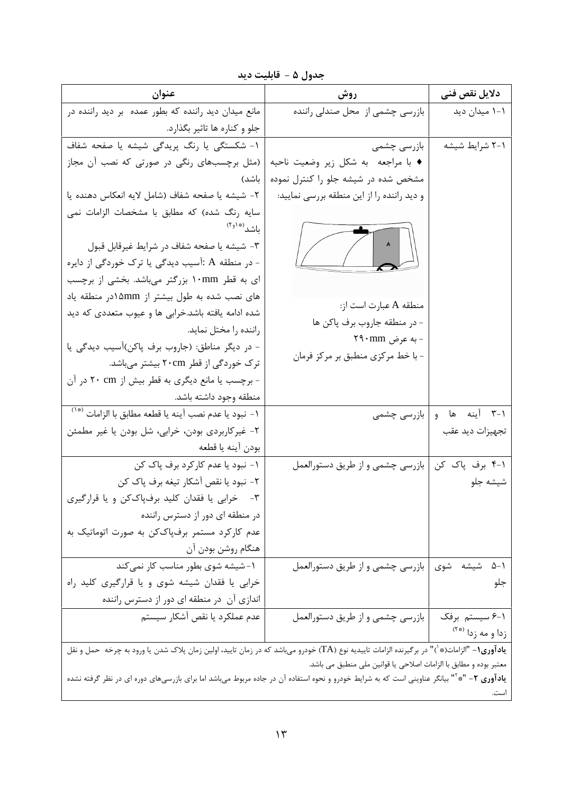| جدول ۵ – قابليت ديد |  |
|---------------------|--|
|                     |  |

| عنوان                                                                                                                                              | روش                                                               | دلايل نقص فنى                                  |
|----------------------------------------------------------------------------------------------------------------------------------------------------|-------------------------------------------------------------------|------------------------------------------------|
| مانع میدان دید راننده که بطور عمده بر دید راننده در                                                                                                | بازرسی چشمی از محل صندلی راننده                                   | ۱–۱ میدان دید                                  |
| جلو و کناره ها تاثیر بگذارد.                                                                                                                       |                                                                   |                                                |
| ١- شكستگى يا رنگ پريدگى شيشه يا صفحه شفاف                                                                                                          | بازرسی چشمی                                                       | ۲-۱ شرایط شیشه                                 |
| (مثل برچسبهای رنگی در صورتی که نصب آن مجاز                                                                                                         | ♦ با مراجعه به شكل زير وضعيت ناحيه                                |                                                |
| باشد)                                                                                                                                              | مشخص شده در شیشه جلو را کنترل نموده                               |                                                |
| ٢- شيشه يا صفحه شفاف (شامل لايه انعكاس دهنده يا                                                                                                    | و دید راننده را از این منطقه بررسی نمایید:                        |                                                |
| سایه رنگ شده) که مطابق با مشخصات الزامات نمی                                                                                                       |                                                                   |                                                |
| باشد <sup>(۱</sup> ۴ <sup>۹)</sup>                                                                                                                 |                                                                   |                                                |
| ٣- شيشه يا صفحه شفاف در شرايط غيرقابل قبول                                                                                                         | $\sqrt{2}$                                                        |                                                |
| - در منطقه A :آسیب دیدگی یا ترک خوردگی از دایره                                                                                                    |                                                                   |                                                |
| ای به قطر ۱۰mm ابزرگتر میباشد. بخشی از برچسب                                                                                                       |                                                                   |                                                |
| های نصب شده به طول بیشتر از ۵mmدر منطقه یاد                                                                                                        | منطقه A عبارت است از:                                             |                                                |
| شده ادامه یافته باشد.خرابی ها و عیوب متعددی که دید                                                                                                 | - در منطقه جاروب برف پاکن ها                                      |                                                |
| راننده را مختل نماید.                                                                                                                              | - به عرض ۲۹۰mm                                                    |                                                |
| - در دیگر مناطق: (جاروب برف پاکن)آسیب دیدگی یا                                                                                                     | - با خط مرکزی منطبق بر مرکز فرمان                                 |                                                |
| ترک خوردگی از قطر ۲۰cm بیشتر میباشد.                                                                                                               |                                                                   |                                                |
| - برچسب یا مانع دیگری به قطر بیش از ۲۰ cm در آن                                                                                                    |                                                                   |                                                |
| منطقه وجود داشته باشد.                                                                                                                             |                                                                   |                                                |
| ۱- نبود يا عدم نصب آينه يا قطعه مطابق با الزامات <sup>(*۱</sup> )                                                                                  | بازرسی چشمی                                                       | ۰۱-۳ آینه ها و                                 |
| ۲- غیرکاربردی بودن، خرابی، شل بودن یا غیر مطمئن                                                                                                    |                                                                   | تجهيزات ديد عقب                                |
| بودن آينه يا قطعه                                                                                                                                  |                                                                   |                                                |
| ۱- نبود یا عدم کارکرد برف پاک کن                                                                                                                   | بازرسی چشمی و از طریق دستورالعمل                                  | ۰۱-۴ برف پاک کن                                |
| ۲- نبود یا نقص آشکار تیغه برف پاک کن                                                                                                               |                                                                   | شيشه جلو                                       |
| ۳- خرابی یا فقدان کلید برفپاککن و یا قرارگیری                                                                                                      |                                                                   |                                                |
| در منطقه ای دور از دسترس راننده                                                                                                                    |                                                                   |                                                |
| عدم کارکرد مستمر برفپاککن به صورت اتوماتیک به                                                                                                      |                                                                   |                                                |
| هنگام روشن بودن آن                                                                                                                                 |                                                                   |                                                |
| ١-شيشه شوى بطور مناسب كار نمى كند                                                                                                                  | بازرسی چشمی و از طریق دستورالعمل                                  | $\Delta - 1$<br>شیشه شوی                       |
| خرابی یا فقدان شیشه شوی و یا قرارگیری کلید راه                                                                                                     |                                                                   | جلو                                            |
| اندازی آن در منطقه ای دور از دسترس راننده                                                                                                          |                                                                   |                                                |
| عدم عملكرد يا نقص آشكار سيستم                                                                                                                      | بازرسی چشمی و از طریق دستورالعمل                                  | ۶-۱ سیستم برفک<br>زدا و مه زدا <sup>(**)</sup> |
| <b>یادآوری۱</b> - "الزامات(*`)" در برگیرنده الزامات تاییدیه نوع (TA) خودرو میباشد که در زمان تایید، اولین زمان پلاک شدن یا ورود به چرخه  حمل و نقل |                                                                   |                                                |
|                                                                                                                                                    | معتبر بوده و مطابق با الزامات اصلاحي يا قوانين ملي منطبق مي باشد. |                                                |

ی**ادآوری ۲**- "\*<sup>"</sup>" بیانگر عناوینی است که به شرایط خودرو و نحوه استفاده آن در جاده مربوط میباشد اما برای بازرسیهای دوره ای در نظر گرفته نشده است.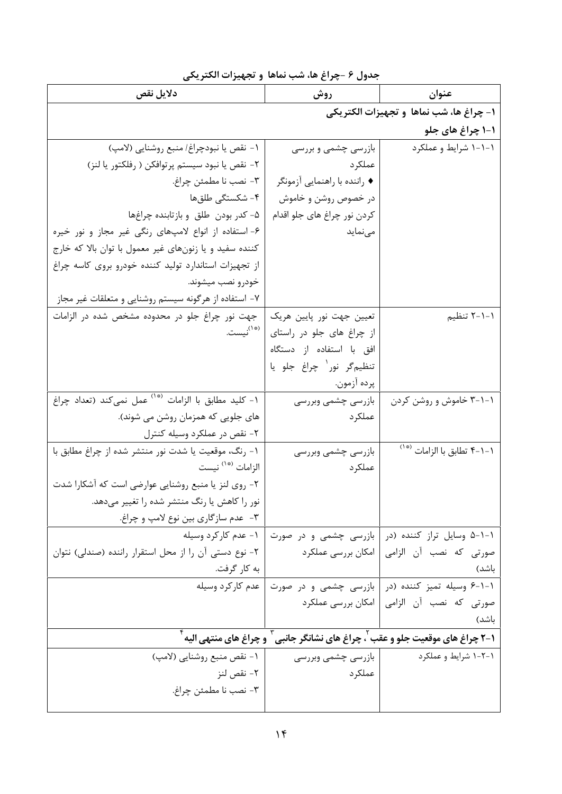| دلايل نقص                                                       | روش                                         | عنوان                                                                            |
|-----------------------------------------------------------------|---------------------------------------------|----------------------------------------------------------------------------------|
|                                                                 |                                             | ١- چراغ ها، شب نماها و تجهيزات الكتريكي                                          |
|                                                                 |                                             | ۱-۱ چراغ های جلو                                                                 |
| ١- نقص يا نبودچراغ/ منبع روشنايي (لامپ)                         | بازرسی چشمی و بررسی                         | ۱-۱-۱ شرایط و عملکرد                                                             |
| ٢- نقص يا نبود سيستم پرتوافكن ( رفلكتور يا لنز)                 | عملكر د                                     |                                                                                  |
| ٣- نصب نا مطمئن چراغ.                                           | ♦ راننده با راهنمایی آزمونگر                |                                                                                  |
| ۴- شکستگی طلقها                                                 | در خصوص روشن و خاموش                        |                                                                                  |
| ۵- کدر بودن طلق و بازتابنده چراغها                              | كردن نور چراغ هاي جلو اقدام                 |                                                                                  |
| ۶- استفاده از انواع لامپهای رنگی غیر مجاز و نور خیره            | مىنمايد                                     |                                                                                  |
| کننده سفید و یا زنونهای غیر معمول با توان بالا که خارج          |                                             |                                                                                  |
| از تجهیزات استاندارد تولید کننده خودرو بروی کاسه چراغ           |                                             |                                                                                  |
| خودرو نصب میشوند.                                               |                                             |                                                                                  |
| ۷– استفاده از هرگونه سیستم روشنایی و متعلقات غیر مجاز           |                                             |                                                                                  |
| جهت نور چراغ جلو در محدوده مشخص شده در الزامات                  | تعیین جهت نور پایین هریک                    | ۱–۱–۲ تنظیم                                                                      |
| (* <sup>۱)</sup> نیست.                                          | از چراغ های جلو در راستای                   |                                                                                  |
|                                                                 | افق با استفاده از دستگاه                    |                                                                                  |
|                                                                 | تنظيم گر نور` چراغ جلو يا                   |                                                                                  |
|                                                                 | پرده آزمون.                                 |                                                                                  |
| ۱- کلید مطابق با الزامات <sup>(*</sup> ` عمل نمیکند (تعداد چراغ | بازرسی چشمی وبررسی                          | ۰۱–۲ خاموش و روشن کردن                                                           |
| های جلویی که همزمان روشن می شوند).                              | عملكرد                                      |                                                                                  |
| ۲- نقص در عملکرد وسیله کنترل                                    |                                             |                                                                                  |
| ۱- رنگ، موقعیت یا شدت نور منتشر شده از چراغ مطابق با            | بازرسی چشمی وبررسی                          | ۰۱–۲ تطابق با الزامات <sup>(*۰</sup> )                                           |
| الزامات <sup>(*')</sup> نيست                                    | عملكرد                                      |                                                                                  |
| ۲- روی لنز یا منبع روشنایی عوارضی است که آشکارا شدت             |                                             |                                                                                  |
| نور را کاهش یا رنگ منتشر شده را تغییر میدهد.                    |                                             |                                                                                  |
| ۳- عدم سازگاری بین نوع لامپ و چراغ.                             |                                             |                                                                                  |
|                                                                 | بازرسی چشمی و در صورت   ۱- عدم کارکرد وسیله | ۱-۱-۵ وسایل تراز کننده (در                                                       |
| ۲- نوع دستی آن را از محل استقرار راننده (صندلی) نتوان           | امکان بررسی عملکرد                          | صورتی که نصب آن الزامی                                                           |
| به کار گرفت.                                                    |                                             | باشد)                                                                            |
| عدم كاركرد وسيله                                                |                                             | ۰۱-۱-۶ وسیله تمیز کننده (در   بازرسی چشمی و در صورت                              |
|                                                                 | امکان بررسی عملکرد                          | صورتی که نصب آن الزامی                                                           |
|                                                                 |                                             | باشد)                                                                            |
|                                                                 |                                             | 1-٢ چراغ های موقعیت جلو و عقب ٰ، چراغ های نشانگر جانبی ٔ و چراغ های منتهی الیه ٔ |
| ١- نقص منبع روشنايي (لامپ)                                      | بازرسی چشمی وبررسی                          | ۱-۲-۱ شرایط و عملکرد                                                             |
| ٢- نقص لنز                                                      | عملكرد                                      |                                                                                  |
| ٣- نصب نا مطمئن چراغ.                                           |                                             |                                                                                  |
|                                                                 |                                             |                                                                                  |

جدول ۶ -چراغ ها، شب نماها و تجهیزات الکتریکی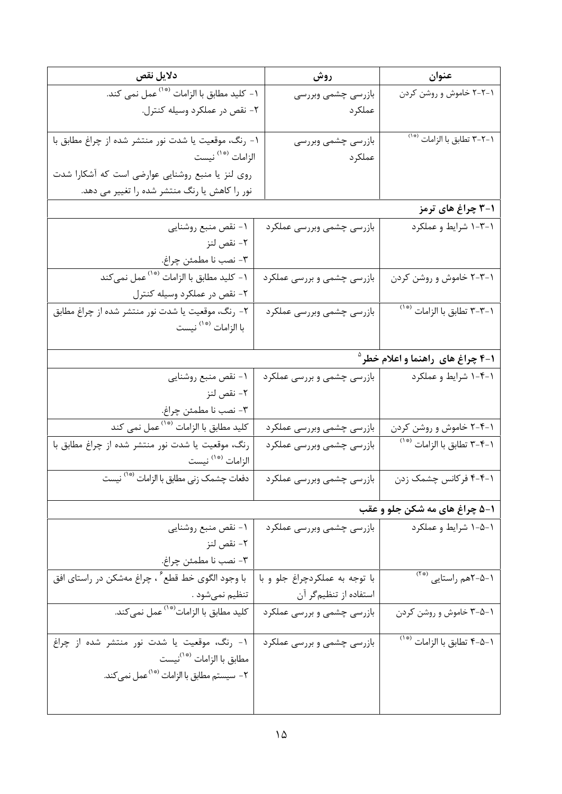| دلايل نقص                                                          | روش                            | عنوان                                               |
|--------------------------------------------------------------------|--------------------------------|-----------------------------------------------------|
| ۱- کلید مطابق با الزامات <sup>(*</sup> ' <sup>)</sup> عمل نمی کند. | بازرسى چشمى وبررسى             | ۲-۲-۱ خاموش و روشن کردن                             |
| ٢- نقص در عملكرد وسيله كنترل.                                      | عملكرد                         |                                                     |
|                                                                    |                                |                                                     |
| ۱- رنگ، موقعیت یا شدت نور منتشر شده از چراغ مطابق با               | بازرسى چشمى وبررسى             | ۲-۲-۲ تطابق با الزامات <sup>(*</sup> '              |
| الزامات <sup>(*</sup> ' نيست                                       | عملكرد                         |                                                     |
| روی لنز یا منبع روشنایی عوارضی است که آشکارا شدت                   |                                |                                                     |
| نور را کاهش یا رنگ منتشر شده را تغییر می دهد.                      |                                |                                                     |
|                                                                    |                                | ۰۱–۳ چراغ های ترمز                                  |
| ١- نقص منبع روشنايي                                                | بازرسى چشمى وبررسى عملكرد      | ۱-۳-۱ شرایط و عملکرد                                |
| ٢- نقص لنز                                                         |                                |                                                     |
| ٣- نصب نا مطمئن چراغ.                                              |                                |                                                     |
| ۱- کلید مطابق با الزامات <sup>(*</sup> `` عمل نمیکند               | بازرسی چشمی و بررسی عملکرد     | ۰-۳-۲ خاموش و روشن کردن                             |
| ٢- نقص در عملكرد وسيله كنترل                                       |                                |                                                     |
| ۲- رنگ، موقعیت یا شدت نور منتشر شده از چراغ مطابق                  | بازرسی چشمی وبررسی عملکرد      | ۰۱–۳–۳ تطابق با الزامات <sup>(*۰)</sup>             |
| با الزامات <sup>(* ۱</sup> ) نيست                                  |                                |                                                     |
|                                                                    |                                |                                                     |
|                                                                    |                                | <b>۱-۴ چراغ های راهنما و اعلام خطر</b> <sup>۵</sup> |
| ۱- نقص منبع روشنايي                                                | بازرسی چشمی و بررسی عملکرد     | ۱-۴-۱ شرایط و عملکرد                                |
| ٢- نقص لنز                                                         |                                |                                                     |
| ٣- نصب نا مطمئن چراغ.                                              |                                |                                                     |
| کلید مطابق با الزامات <sup>(*</sup> `` عمل نمی کند                 | بازرسی چشمی وبررسی عملکرد      | ۱-۴-۲ خاموش و روشن کردن                             |
| رنگ، موقعیت یا شدت نور منتشر شده از چراغ مطابق با                  | بازرسى چشمى وبررسى عملكرد      | ۰۱–۳ تطابق با الزامات <sup>(*۰</sup>                |
| الزامات <sup>(*۱)</sup> نيست                                       |                                |                                                     |
| دفعات چشمک زنی مطابق با الزامات <sup>(*</sup> `` نیست              | بازرسی چشمی وبررسی عملکرد      | ۰۱–۴-۴ فرکانس چشمک زدن                              |
|                                                                    |                                | ۰۱-۵ چراغ های مه شکن جلو و عقب                      |
| ۱- نقص منبع روشنايي                                                | بازرسی چشمی وبررسی عملکرد      | ۱-۵-۱ شرایط و عملکرد                                |
| ٢- نقص لنز                                                         |                                |                                                     |
| ٣- نصب نا مطمئن چراغ.                                              |                                |                                                     |
| با وجود الگوی خط قطع ً ، چراغ مهشکن در راستای افق                  | با توجه به عملكردچراغ جلو و با | ۰-۵-۲هم راستایی <sup>(۳*)</sup>                     |
| تنظيم نميشود .                                                     | استفاده از تنظیمگر آن          |                                                     |
| كليد مطابق با الزامات <sup>(*</sup> ' عمل نمى <i>ك</i> ند.         | بازرسی چشمی و بررسی عملکرد     | ۰-۵-۳ خاموش و روشن کردن                             |
| ١- رنگ، موقعیت یا شدت نور منتشر شده از چراغ                        | بازرسی چشمی و بررسی عملکرد     | ۱−۵−۴ تطابق با الزامات <sup>(∗۰)</sup>              |
| مطابق با الزامات <sup>(*`)</sup> نيست                              |                                |                                                     |
| ۲- سیستم مطابق با الزامات <sup>(*</sup> ``عمل نمی <i>ک</i> ند.     |                                |                                                     |
|                                                                    |                                |                                                     |
|                                                                    |                                |                                                     |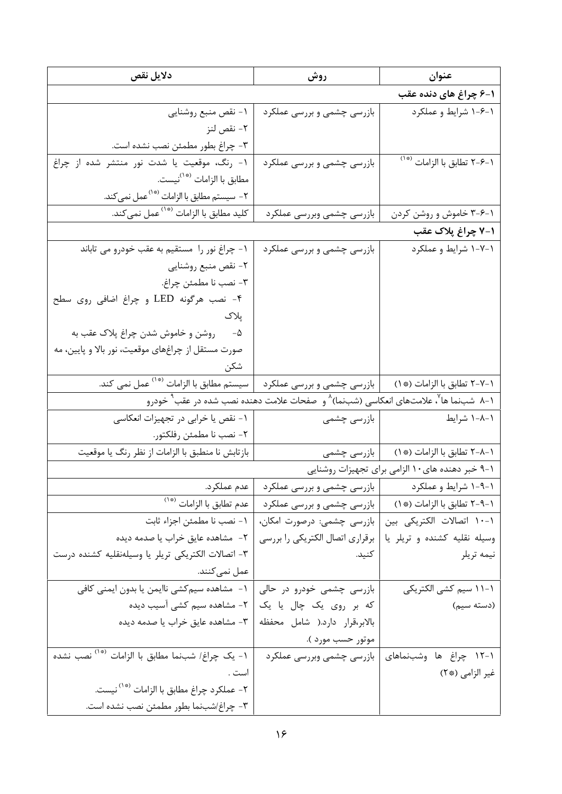| دلايل نقص                                                    | روش                                                                                                                       | عنوان                                            |
|--------------------------------------------------------------|---------------------------------------------------------------------------------------------------------------------------|--------------------------------------------------|
|                                                              |                                                                                                                           | ۱-۶ چراغ های دنده عقب                            |
| ١- نقص منبع روشنايي                                          | بازرسی چشمی و بررسی عملکرد                                                                                                | ۱-۶-۱ شرایط و عملکرد                             |
| ٢- نقص لنز                                                   |                                                                                                                           |                                                  |
| ٣- چراغ بطور مطمئن نصب نشده است.                             |                                                                                                                           |                                                  |
| ١- رنگ، موقعیت یا شدت نور منتشر شده از چراغ                  | بازرسی چشمی و بررسی عملکرد                                                                                                | ۱–۶–۲ تطابق با الزامات <sup>(*۰)</sup>           |
| مطابق با الزامات <sup>(*`)</sup> نيست.                       |                                                                                                                           |                                                  |
| ۲- سیستم مطابق با الزامات <sup>(*`</sup> `عمل نمی کند.       |                                                                                                                           |                                                  |
| کلید مطابق با الزامات <sup>(*۱</sup> ) عمل نمی <i>ک</i> ند.  | بازرسي چشمي وبررسي عملكرد                                                                                                 | ۰-۶-۳ خاموش و روشن کردن                          |
|                                                              |                                                                                                                           | ۰۱–۷ چراغ پلاک عقب                               |
| ١- چراغ نور را مستقيم به عقب خودرو مي تاباند                 | بازرسی چشمی و بررسی عملکرد                                                                                                | ۱-۷-۱ شرایط و عملکرد                             |
| ٢- نقص منبع روشنايي                                          |                                                                                                                           |                                                  |
| ٣- نصب نا مطمئن چراغ.                                        |                                                                                                                           |                                                  |
| ۴- نصب هرگونه LED و چراغ اضافی روی سطح                       |                                                                                                                           |                                                  |
| پلاک                                                         |                                                                                                                           |                                                  |
| ۵- دروشن و خاموش شدن چراغ پلاک عقب به                        |                                                                                                                           |                                                  |
| صورت مستقل از چراغهای موقعیت، نور بالا و پایین، مه           |                                                                                                                           |                                                  |
| شكن                                                          |                                                                                                                           |                                                  |
| سیستم مطابق با الزامات <sup>(*۱)</sup> عمل نمی کند.          | ا بازرسی چشمی و بررسی عملکرد                                                                                              | ١-٢-٢ تطابق با الزامات (* ١)                     |
|                                                              | ۱–۸٪ شبiما ها <sup>۷</sup> ، علامتهای انعکاسی (شبiما) <sup>۸</sup> و  صفحات علامت دهنده نصب شده در عقب <sup>۹</sup> خودرو |                                                  |
| ۱- نقص یا خرابی در تجهیزات انعکاسی                           | بازرسی چشمی                                                                                                               | ۱–۸–۱ شرایط                                      |
| ٢- نصب نا مطمئن رفلكتور.                                     |                                                                                                                           |                                                  |
| بازتابش نا منطبق با الزامات از نظر رنگ یا موقعیت             |                                                                                                                           | ۱-۸-۲ تطابق با الزامات (* ۱)        بازرسی چشمی  |
|                                                              |                                                                                                                           | ۰۱–۹ خبر دهنده های۱۰ الزامی برای تجهیزات روشنایی |
|                                                              | ۱-۹-۱ شرایط و عملکرد مسلم از بازرسی چشمی و بررسی عملکرد از عدم عملکرد.                                                    |                                                  |
| عدم تطابق با الزامات <sup>(*</sup> ')                        | بازرسی چشمی و بررسی عملکرد                                                                                                | ١-٩-٢ تطابق با الزامات (* ١)                     |
| ١- نصب نا مطمئن اجزاء ثابت                                   | بازرسی چشمی: درصورت امکان،                                                                                                | ١-١٠ اتصالات الكتريكي بين                        |
| ٢- مشاهده عايق خراب يا صدمه ديده                             | برقراري اتصال الكتريكي را بررسي                                                                                           | وسیله نقلیه کشنده و تریلر یا                     |
| ٣- اتصالات الكتريكي تريلر يا وسيلهنقليه كشنده درست           | كنيد.                                                                                                                     | نيمه تريلر                                       |
| عمل نمي كنند.                                                |                                                                                                                           |                                                  |
| ۱–  مشاهده سیم کشی ناایمن یا بدون ایمنی کافی                 | بازرسی چشمی خودرو در حالی                                                                                                 | ۱–۱۱ سیم کشی الکتریکی                            |
| ۲- مشاهده سیم کشی آسیب دیده                                  | که بر روی یک چال یا یک                                                                                                    | (دسته سیم)                                       |
| ٣- مشاهده عايق خراب يا صدمه ديده                             | بالابر،قرار دارد.( شامل محفظه                                                                                             |                                                  |
|                                                              | موتور حسب مورد ).                                                                                                         |                                                  |
| ۱- یک چراغ/ شبنما مطابق با الزامات <sup>(*</sup> `` نصب نشده | بازرسی چشمی وبررسی عملکرد                                                                                                 | ۱-۱۲ چراغ ها وشبنماهای                           |
| است .                                                        |                                                                                                                           | غير الزامي (* ٢)                                 |
| ۲- عملکرد چراغ مطابق با الزامات <sup>(*</sup> `` نيست.       |                                                                                                                           |                                                  |
| ٣- چراغ/شبنما بطور مطمئن نصب نشده است.                       |                                                                                                                           |                                                  |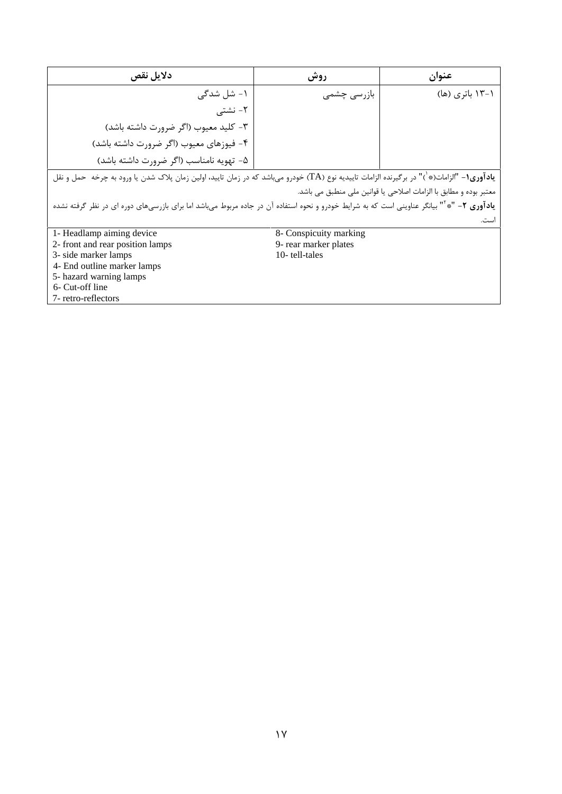| دلايل نقص                                                                                                                                                    | روش                    | عنوان           |
|--------------------------------------------------------------------------------------------------------------------------------------------------------------|------------------------|-----------------|
| ۱– شل شدگے،                                                                                                                                                  | بازرسی چشمی            | ۱–۱۳ باتری (ها) |
| ۲– نشتے ِ                                                                                                                                                    |                        |                 |
| ٣- كليد معيوب (اگر ضرورت داشته باشد)                                                                                                                         |                        |                 |
| ۴- فیوزهای معیوب (اگر ضرورت داشته باشد)                                                                                                                      |                        |                 |
| ۵- تهویه نامناسب (اگر ضرورت داشته باشد)                                                                                                                      |                        |                 |
| <b>یادآوری۱</b> − "الزامات(*`)" در برگیرنده الزامات تاییدیه نوع (TA) خودرو میباشد که در زمان تایید، اولین زمان پلاک شدن یا ورود به چرخه حمل و نقل            |                        |                 |
| معتبر بوده و مطابق با الزامات اصلاحی یا قوانین ملی منطبق می باشد.                                                                                            |                        |                 |
| <b>یادآوری ۲</b> – "* <sup>۱۲</sup> بیانگر عناوینی است که به شرایط خودرو و نحوه استفاده آن در جاده مربوط میباشد اما برای بازرسیهای دوره ای در نظر گرفته نشده |                        |                 |
|                                                                                                                                                              |                        | است.            |
| 1- Headlamp aiming device                                                                                                                                    | 8- Conspicuity marking |                 |
| 2- front and rear position lamps                                                                                                                             | 9- rear marker plates  |                 |
| 3- side marker lamps                                                                                                                                         | 10-tell-tales          |                 |
| 4- End outline marker lamps                                                                                                                                  |                        |                 |
| 5- hazard warning lamps                                                                                                                                      |                        |                 |
| 6- Cut-off line                                                                                                                                              |                        |                 |
| 7- retro-reflectors                                                                                                                                          |                        |                 |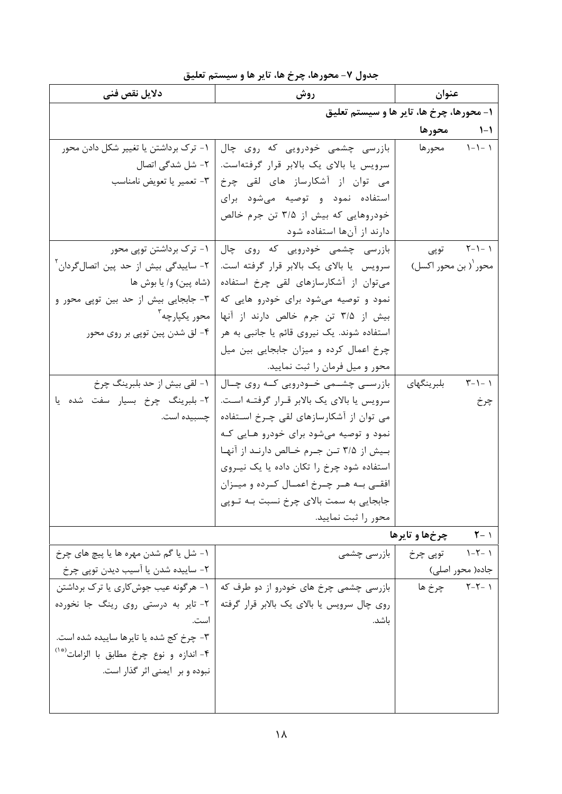# جدول ٧- محورها، چرخ ها، تایر ها و سیستم تعلیق

| دلايل نق <i>ص</i> فن <i>ي</i>                         | روش                                                        | عنوان                   |                  |
|-------------------------------------------------------|------------------------------------------------------------|-------------------------|------------------|
|                                                       | ۱- محورها، چرخ ها، تایر ها و سیستم تعلیق                   |                         |                  |
|                                                       |                                                            | محورها                  | $1 - 1$          |
| ۱- ترک برداشتن یا تغییر شکل دادن محور                 | بازرسی چشمی خودرویی که روی چال                             | محورها                  | $1 - 1 - 1$      |
|                                                       | سرویس یا بالای یک بالابر قرار گرفتهاست.   ۲- شل شدگی اتصال |                         |                  |
|                                                       | می قوان از آشکارساز های لقی چرخ   ۳- تعمیریا تعویض نامناسب |                         |                  |
|                                                       | استفاده نمود و توصیه میشود برای                            |                         |                  |
|                                                       | خودروهایی که بیش از ۳/۵ تن جرم خالص                        |                         |                  |
|                                                       | دارند از آنها استفاده شود                                  |                         |                  |
| ۱- ترک برداشتن توپی محور                              | بازرسی چشمی خودرویی که روی چال                             | توپى                    | $Y - 1 - 1$      |
| ۲- ساییدگی بیش از حد پین اتصال گردان آ                | سرویس یا بالای یک بالابر قرار گرفته است.                   | محور '( بن محور اکسل)   |                  |
| (شاه پین) و/ یا بوش ها                                | میتوان از آشکارسازهای لقی چرخ استفاده                      |                         |                  |
| ۳- جابجایی بیش از حد بین توپی محور و                  | نمود و توصیه می شود برای خودرو هایی که                     |                         |                  |
| محور يكيارچه آ                                        | بیش از ۳/۵ تن جرم خالص دارند از آنها                       |                         |                  |
| ۴– لق شدن پین توپی بر روی محور                        | استفاده شوند. یک نیروی قائم یا جانبی به هر                 |                         |                  |
|                                                       | چرخ اعمال کرده و میزان جابجایی بین میل                     |                         |                  |
|                                                       | محور و میل فرمان را ثبت نمایید.                            |                         |                  |
| ١- لقي بيش از حد بلبرينگ چرخ                          | بازرســی چشــمی خــودرویی کــه روی چــال                   | بلبر ينگهاي             | $T - 1 - 1$      |
| ٢- بلبرينگ چرخ بسيار سفت شده يا                       | سرویس یا بالای یک بالابر قـرار گرفتـه اسـت.                |                         | چرخ              |
| چسبیده است.                                           | می توان از آشکارسازهای لقی چـرخ اســتفاده                  |                         |                  |
|                                                       | نمود و توصیه میشود برای خودرو هـایی کـه                    |                         |                  |
|                                                       | بـیش از ۳/۵ تــن جــرم خــالص دارنــد از آنهــا            |                         |                  |
|                                                       | استفاده شود چرخ را تکان داده یا یک نیـروی                  |                         |                  |
|                                                       | افقے بـه هـر چـرخ اعمـال کـرده و ميـزان                    |                         |                  |
|                                                       | جابجایی به سمت بالای چرخ نسبت بـه تـوپی                    |                         |                  |
|                                                       | محور را ثبت نماييد.                                        |                         |                  |
|                                                       |                                                            | <b>1-1 حرخهاوتايرها</b> |                  |
| ۱- شل یا گم شدن مهره ها یا پیچ های چرخ                | بازرسی چشمی                                                | ۱ -۲-۱ توپی چرخ         |                  |
| ۲- ساییده شدن یا آسیب دیدن توپی چرخ                   |                                                            |                         | جاده( محور اصلی) |
| ۱- هرگونه عیب جوشکاری یا ترک برداشتن                  | بازرسی چشمی چرخ های خودرو از دو طرف که                     |                         | ۲-۲-۲ چرخ ها     |
| ۲- تایر به درستی روی رینگ جا نخورده                   | روی چال سرویس یا بالای یک بالابر قرار گرفته                |                         |                  |
| است.                                                  | باشد.                                                      |                         |                  |
| ۳- چرخ کج شده یا تایرها ساییده شده است.               |                                                            |                         |                  |
| ۴- اندازه و نوع چرخ مطابق با الزامات <sup>(*</sup> ') |                                                            |                         |                  |
| نبوده و بر ایمنی اثر گذار است.                        |                                                            |                         |                  |
|                                                       |                                                            |                         |                  |
|                                                       |                                                            |                         |                  |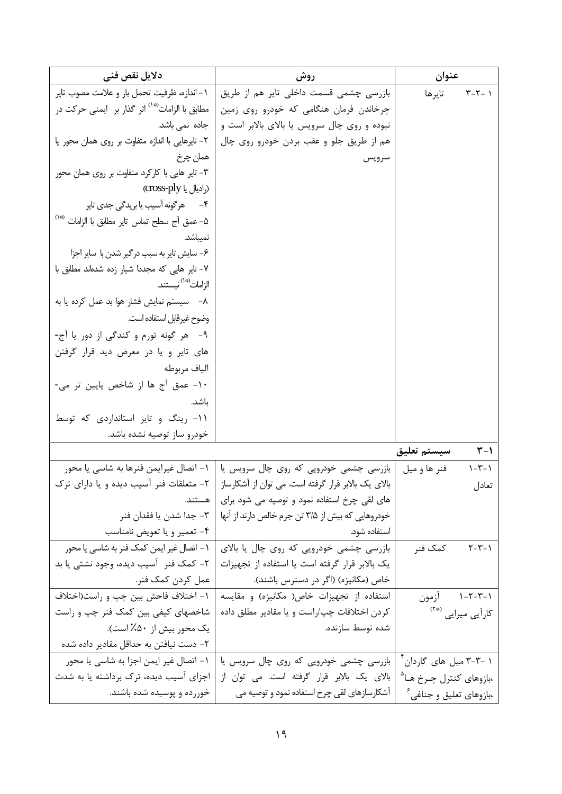| دلایل نقص فنی                                                   | روش                                                 | عنوان                                  |
|-----------------------------------------------------------------|-----------------------------------------------------|----------------------------------------|
| ١- اندازه، ظرفيت تحمل بار و علامت مصوب تاير                     | بازرسی چشمی قسمت داخلی تایر هم از طریق              | تايرها<br>$T - T - 1$                  |
| ً مطابق با الزامات <sup>(*</sup> `` اثر گذار بر   ايمنى حركت در | چرخاندن فرمان هنگامی که خودرو روی زمین              |                                        |
| جادہ نم <i>ی</i> باشد.                                          | نبوده و روی چال سرویس یا بالای بالابر است و         |                                        |
| ٢- تايرهايي با اندازه متفاوت بر روى همان محور يا                | هم از طريق جلو و عقب بردن خودرو روى چال             |                                        |
| همان چرخ                                                        | سرويس                                               |                                        |
| ۳- تایر هایی با کارکرد متفاوت بر روی همان محور                  |                                                     |                                        |
| (رادیال یا cross-ply)                                           |                                                     |                                        |
| ۴- هرگونه آسیب یا بریدگی جدی تایر                               |                                                     |                                        |
| ۵- عمق آج سطح تماس تاير مطلبق با الزامات <sup>(*</sup> ')       |                                                     |                                        |
| نميباشد.                                                        |                                                     |                                        |
| ۶– سایش تایر به سبب در گیر شدن با سایر اجزا                     |                                                     |                                        |
| ٧- تایر هایی که مجددا شیار زده شدهاند مطابق با                  |                                                     |                                        |
| الزامات <sup>(* ١</sup> ) نيستند.                               |                                                     |                                        |
| ٨- سيستم نمايش فشار هوا بد عمل كرده يا به                       |                                                     |                                        |
| وضوح غيرقابل استفاده است.                                       |                                                     |                                        |
| ۹-۔ هر گونه تورم و کندگی از دور یا آج-                          |                                                     |                                        |
| های تایر و یا در معرض دید قرار گرفتن                            |                                                     |                                        |
| الياف مربوطه                                                    |                                                     |                                        |
| ۱۰- عمق آج ها از شاخص پایین تر می-                              |                                                     |                                        |
| باشد.                                                           |                                                     |                                        |
| ۱۱- رینگ و تایر استانداردی که توسط                              |                                                     |                                        |
| خودرو ساز توصيه نشده باشد.                                      |                                                     |                                        |
|                                                                 |                                                     | $\mathbf{r}-\mathbf{v}$<br>سيستم تعليق |
| ۱– اتصال غیرایمن فنرها به شاسی یا محور                          | ِ بازرسی چشمی خودرویی که روی چال سرویس یا ا         | فنر ها و ميل<br>$1 - 7 - 1$            |
| ۲- متعلقات فنر آسیب دیده و یا دارای ترک                         | بالای یک بالابر قرار گرفته است. می توان از آشکارساز | تعادل                                  |
| هستند.                                                          | های لقی چرخ استفاده نمود و توصیه می شود برای        |                                        |
| ٣- جدا شدن يا فقدان فنر                                         | خودروهایی که بیش از ۳/۵ تن جرم خالص دارند از آنها   |                                        |
| ۴- تعمير و يا تعويض نامناسب                                     | استفاده شود.                                        |                                        |
| ١- اتصال غير ايمن كمك فنر به شاسي يا محور                       | بازرسی چشمی خودرویی که روی چال یا بالای             | ۲-۲-۲ کمک فنر                          |
| ۲- کمک فنر $\,$ آسیب دیده، وجود نشتی یا بد                      | یک بالابر قرار گرفته است یا استفاده از تجهیزات      |                                        |
| عمل كردن كمك فنر.                                               | خاص (مکانیزه) (اگر در دسترس باشند).                 |                                        |
| ١- اختلاف فاحش بين چپ و راست(اختلاف                             | استفاده از تجهیزات خاص( مکانیزه) و مقایسه           | ۱-۲-۲-۱ أزمون                          |
| شاخصهای کیفی بین کمک فنر چپ و راست                              | كردن اختلافات چپ/راست و يا مقادير مطلق داده         | کاراًیی میرایی (*``                    |
| یک محور بیش از ۵۰٪ است).                                        | شده توسط سازنده.                                    |                                        |
| ۲- دست نیافتن به حداقل مقادیر داده شده                          |                                                     |                                        |
| ١- اتصال غير ايمن اجزا به شاسي يا محور                          | بازرسی چشمی خودرویی که روی چال سرویس یا             | ۱ -۳-۳ میل های گاردان ٰ                |
| اجزای آسیب دیده، ترک برداشته یا به شدت                          | بالای یک بالابر قرار گرفته است. می توان از          | ،بازوهای کنترل چـرخ هـا <sup>۵</sup>   |
| خوررده و پوسیده شده باشند.                                      | آشکارسازهای لقی چرخ استفاده نمود و توصیه می         | ،بازوهای تعلیق و جناغی ً               |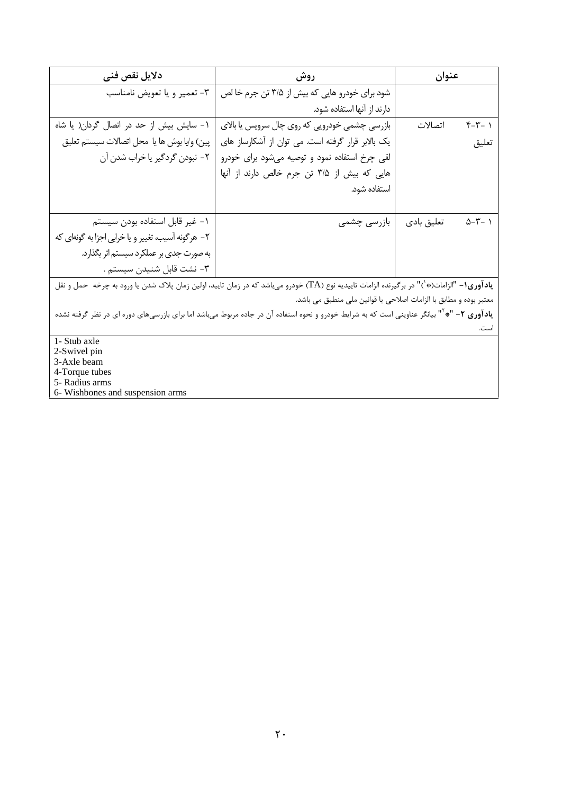| دلايل نقص فنى                                                                                                                                                  | روش                                                                                                                                               | عنوان      |                     |
|----------------------------------------------------------------------------------------------------------------------------------------------------------------|---------------------------------------------------------------------------------------------------------------------------------------------------|------------|---------------------|
| ٣- تعمير ويا تعويض نامناسب                                                                                                                                     | شود برای خودرو هایی که بیش از ۳/۵ تن جرم خا لص                                                                                                    |            |                     |
|                                                                                                                                                                | دارند از آنها استفاده شود.                                                                                                                        |            |                     |
| ۱ - سایش بیش از حد در اتصال گردان( یا شاه                                                                                                                      | بازرسی چشمی خودرویی که روی چال سرویس یا بالای                                                                                                     | اتصالات    | $Y - Y - 1$         |
| پين) و/يا بوش ها يا محل اتصالات سيستم تعليق                                                                                                                    | یک بالابر قرار گرفته است. می توان از آشکارساز های                                                                                                 |            | تعليق               |
| ٢- نبودن گردگير يا خراب شدن آن                                                                                                                                 | لقی چرخ استفاده نمود و توصیه میشود برای خودرو                                                                                                     |            |                     |
|                                                                                                                                                                | هایی که بیش از ۳/۵ تن جرم خالص دارند از آنها                                                                                                      |            |                     |
|                                                                                                                                                                | استفاده شود.                                                                                                                                      |            |                     |
|                                                                                                                                                                |                                                                                                                                                   |            |                     |
| ١– غير قابل استفاده بودن سيستم                                                                                                                                 | بازرسی چشمی                                                                                                                                       | تعليق بادى | $\Delta-\Upsilon-1$ |
| ۲– هرگونه آسیب، تغییر و یا خرابی اجزا به گونهای که                                                                                                             |                                                                                                                                                   |            |                     |
| به صورت جدی بر عملکرد سیستم اثر بگذارد.                                                                                                                        |                                                                                                                                                   |            |                     |
| ٣- نشت قابل شنيدن سيستم .                                                                                                                                      |                                                                                                                                                   |            |                     |
|                                                                                                                                                                | <b>یادآوری۱</b> – "الزامات(*`)" در برگیرنده الزامات تاییدیه نوع (TA) خودرو میباشد که در زمان تایید، اولین زمان پلاک شدن یا ورود به چرخه حمل و نقل |            |                     |
|                                                                                                                                                                | معتبر بوده و مطابق با الزامات اصلاحی یا قوانین ملی منطبق می باشد.                                                                                 |            |                     |
| ی <b>ادآوری ۲</b> – "* <sup>۱</sup> " بیانگر عناوینی است که به شرایط خودرو و نحوه استفاده آن در جاده مربوط میباشد اما برای بازرسیهای دوره ای در نظر گرفته نشده |                                                                                                                                                   |            |                     |
|                                                                                                                                                                |                                                                                                                                                   |            | است.                |
| 1- Stub axle                                                                                                                                                   |                                                                                                                                                   |            |                     |
| 2-Swivel pin<br>3-Axle beam                                                                                                                                    |                                                                                                                                                   |            |                     |
| 4-Torque tubes                                                                                                                                                 |                                                                                                                                                   |            |                     |

5- Radius arms<br>6- Wishbones and suspension arms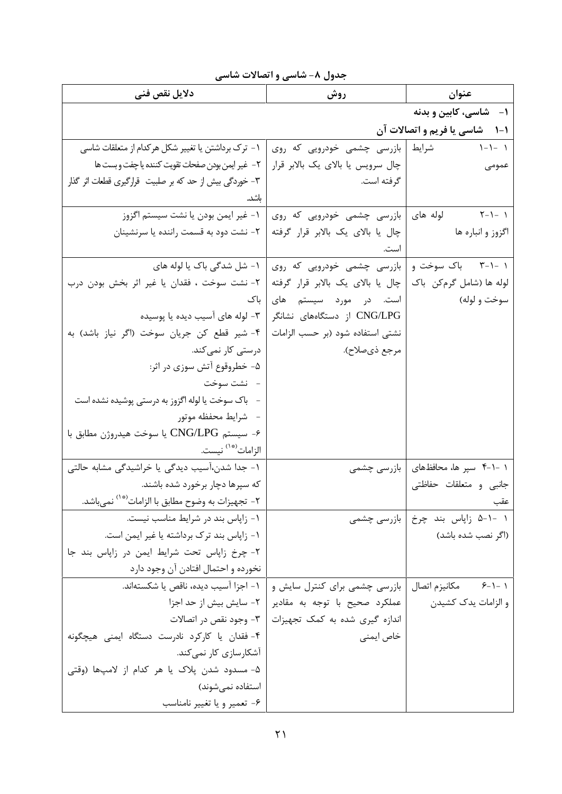| دلايل نقص فنى                                                | روش                               | عنوان                         |
|--------------------------------------------------------------|-----------------------------------|-------------------------------|
|                                                              |                                   | ۱- شاسی، کابین و بدنه         |
|                                                              |                                   | ۱-۱ شاسی یا فریم و اتصالات آن |
| ١- ترك برداشتن يا تغيير شكل هركدام از متعلقات شاسي           | بازرسی چشمی خودرویی که روی        | $1 - 1 - 1$<br>شرايط          |
| ٢-  غير ايمن بودن صفحات تقويت كننده يا چفت و بست ها          | چال سرویس یا بالای یک بالابر قرار | عمومى                         |
| ۳- خوردگی بیش از حد که بر صلبیت ۖ قرارگیری قطعات اثر گذار    | گرفته است.                        |                               |
| باشد.                                                        |                                   |                               |
| ١- غير ايمن بودن يا نشت سيستم اگزوز                          | بازرسی چشمی خودرویی که روی        | ۱ –۱–۲ لوله های               |
| ۲- نشت دود به قسمت راننده یا سرنشینان                        | چال یا بالای یک بالابر قرار گرفته | اگزوز و انباره ها             |
|                                                              | است.                              |                               |
| ۱- شل شدگی باک یا لوله های                                   | بازرسی چشمی خودرویی که روی        | ۱ -۱-۳ باک سوخت و             |
| ٢- نشت سوخت ، فقدان يا غير اثر بخش بودن درب                  | چال یا بالای یک بالابر قرار گرفته | لوله ها (شامل گرمکن باک       |
| باک                                                          | است. در مورد سیستم های            | سوخت و لوله)                  |
| ۳- لوله های آسیب دیده یا پوسیده                              | CNG/LPG از دستگاههای نشانگر       |                               |
| ۴- شير قطع كن جريان سوخت (اگر نياز باشد) به                  | نشتی استفاده شود (بر حسب الزامات  |                               |
| درستی کار نم <i>ی ک</i> ند.                                  | مرجع ذيصلاح).                     |                               |
| ۵- خطروقوع آتش سوزی در اثر:                                  |                                   |                               |
| – نشت سوخت                                                   |                                   |                               |
| – باک سوخت یا لوله اگزوز به درستی پوشیده نشده است            |                                   |                               |
| - شرايط محفظه موتور                                          |                                   |                               |
| ۶- سیستم CNG/LPG یا سوخت هیدروژن مطابق با                    |                                   |                               |
| الزامات <sup>(۞١)</sup> نيست.                                |                                   |                               |
| ۱- جدا شدن،آسیب دیدگی یا خراشیدگی مشابه حالتی                | بازرسی چشمی                       | ۱ -۱-۴ سپر ها، محافظهای       |
| که سپرها دچار برخورد شده باشند.                              |                                   | جانبي و متعلقات حفاظتي        |
| ۲– تجهیزات به وضوح مطابق با الزامات <sup>(*۰)</sup> نمیباشد. |                                   | عقب                           |
| ۱- زاپاس بند در شرایط مناسب نیست.                            | بازرسی چشمی                       | ۱ -۱-۵ زاپاس بند چرخ          |
| ١- زاياس بند ترك برداشته يا غير ايمن است.                    |                                   | (اگر نصب شده باشد)            |
| ٢- چرخ زاپاس تحت شرايط ايمن در زاپاس بند جا                  |                                   |                               |
| نخورده و احتمال افتادن آن وجود دارد                          |                                   |                               |
| ١- اجزا آسيب ديده، ناقص يا شكستهاند.                         | بازرسی چشمی برای کنترل سایش و     | ١ -١-۶ مكانيزم اتصال          |
| ۲- سایش بیش از حد اجزا                                       | عملکرد صحیح با توجه به مقادیر     | و الزامات يدک کشيدن           |
| ۳- وجود نقص در اتصالات                                       | اندازه گیری شده به کمک تجهیزات    |                               |
| ۴- فقدان یا کارکرد نادرست دستگاه ایمنی هیچگونه               | خاص ایمنی                         |                               |
| آشکارسازی کار نمی <i>ک</i> ند.                               |                                   |                               |
| ۵- مسدود شدن پلاک یا هر کدام از لامپها (وقتی                 |                                   |                               |
| استفاده نمىشوند)                                             |                                   |                               |
| ۶- تعمیر و یا تغییر نامناسب                                  |                                   |                               |

جدول ٨- شاسي و اتصالات شاسي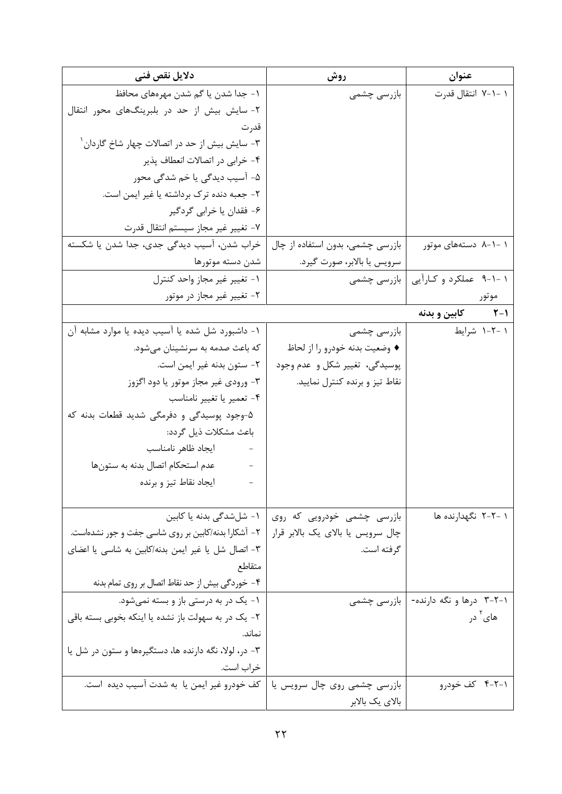| دلایل نقص فنی                                                             | روش                               | عنوان                     |
|---------------------------------------------------------------------------|-----------------------------------|---------------------------|
| ۱ – جدا شدن یا گم شدن مهرههای محافظ                                       | بازرسی چشمی                       | ۱ –۱–۷ انتقال قدرت        |
| ۲- سایش بیش از حد در بلبرینگهای محور انتقال                               |                                   |                           |
| قدر ت                                                                     |                                   |                           |
| ۳- سایش بیش از حد در اتصالات چهار شاخ گاردان ٰ                            |                                   |                           |
| ۴- خرابی در اتصالات انعطاف پذیر                                           |                                   |                           |
| ۵- آسیب دیدگی یا خم شدگی محور                                             |                                   |                           |
| ۲- جعبه دنده ترک برداشته یا غیر ایمن است.                                 |                                   |                           |
| ۶- فقدان یا خرابی گردگیر                                                  |                                   |                           |
| ٧- تغيير غير مجاز سيستم انتقال قدرت                                       |                                   |                           |
| خراب شدن، آسیب دیدگی جدی، جدا شدن یا شکسته                                | بازرسی چشمی، بدون استفاده از چال  | ۱ -۱-۸ دستههای موتور      |
| شدن دسته موتورها                                                          | سرويس يا بالابر، صورت گيرد.       |                           |
| ١- تغيير غير مجاز واحد كنترل                                              | بازرسی چشمی                       | ۱ -۱-۹ عملکرد و کـارآيي   |
| ۲- تغییر غیر مجاز در موتور                                                |                                   | موتور                     |
|                                                                           |                                   | ۲-۱ کابین و بدنه          |
| ١- داشبورد شل شده يا آسيب ديده يا موارد مشابه آن                          | بازرسی چشمی                       | ۱ –۲–۱ شرایط              |
| که باعث صدمه به سرنشینان می شود.                                          | ♦ وضعيت بدنه خودرو را از لحاظ     |                           |
| ٢- ستون بدنه غير ايمن است.                                                | پوسیدگی، تغییر شکل و عدم وجود     |                           |
| ۳- ورودی غیر مجاز موتور یا دود اگزوز                                      | نقاط تیز و برنده کنترل نمایید.    |                           |
| ۴- تعمیر یا تغییر نامناسب                                                 |                                   |                           |
| ۵-وجود پوسیدگی و دفرمگی شدید قطعات بدنه که                                |                                   |                           |
| باعث مشكلات ذيل گردد:                                                     |                                   |                           |
| ايجاد ظاهر نامناسب<br>$\alpha$ and $\alpha$                               |                                   |                           |
| عدم استحكام اتصال بدنه به ستونها                                          |                                   |                           |
| ايجاد نقاط تيز و برنده                                                    |                                   |                           |
|                                                                           |                                   |                           |
| ۱- شلشدگی بدنه یا کابین                                                   | بازرسی چشمی خودرویی که روی        | ۱ -۲-۲ نگهدارنده ها       |
| ۲- آشکارا بدنه/کابین بر روی شاسی جفت و جور نشدهاست.                       | چال سرویس یا بالای یک بالابر قرار |                           |
| ٣- اتصال شل يا غير ايمن بدنه/كابين به شاسي يا اعضاى                       | گرفته است.                        |                           |
| متقاطع                                                                    |                                   |                           |
| ۴– خوردگی بیش از حد نقاط اتصال بر روی تمام بدنه                           |                                   |                           |
| ۱- یک در به درستی باز و بسته نمیشود.                                      | بازرسی چشمی                       | ۰۱–۲–۳ درها و نگه دارنده- |
| ۲– یک در به سهولت باز نشده یا اینکه بخوبی بسته باقی                       |                                   | های آ در                  |
| نماند.                                                                    |                                   |                           |
| ۳- در، لولا، نگه دارنده ها، دستگیرهها و ستون در شل یا                     |                                   |                           |
| خراب است.                                                                 |                                   |                           |
| بازرسی چشمی روی چال سرویس یا   کف خودرو غیر ایمن یا به شدت آسیب دیده است. |                                   | ۰۱–۴ کف خودرو             |
|                                                                           | بالای یک بالابر                   |                           |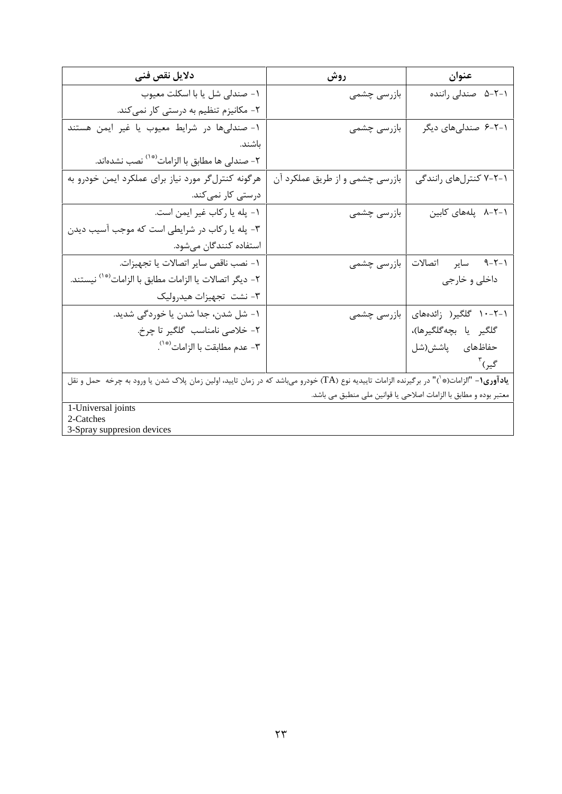| دلايل نقص فنى                                                                                                                                     | روش                             | عنوان                                                             |
|---------------------------------------------------------------------------------------------------------------------------------------------------|---------------------------------|-------------------------------------------------------------------|
| ١- صندلي شل يا با اسكلت معيوب                                                                                                                     | بازرسی چشمی                     | ۰۱–۲–۵ صندلی راننده                                               |
| ۲- مکانیزم تنظیم به درستی کار نمیکند.                                                                                                             |                                 |                                                                   |
| ۱- صندلیها در شرایط معیوب یا غیر ایمن هستند                                                                                                       | بازرسی چشمی                     | ۰۱-۲-۶ صندلیهای دیگر                                              |
| باشند.                                                                                                                                            |                                 |                                                                   |
| ۲- صندلی ها مطابق با الزامات <sup>(*</sup> `` نصب نشدهاند.                                                                                        |                                 |                                                                   |
| هرگونه کنترلگر مورد نیاز برای عملکرد ایمن خودرو به                                                                                                | بازرسی چشمی و از طریق عملکرد آن | ۰۱–۲-۷ کنترلهای رانندگی                                           |
| درستی کار نمیکند.                                                                                                                                 |                                 |                                                                   |
| ١- پله يا ركاب غير ايمن است.                                                                                                                      | بازرسی چشمی                     | ۸-۲-۱ پلههای کابین                                                |
| ۳- پله یا رکاب در شرایطی است که موجب آسیب دیدن                                                                                                    |                                 |                                                                   |
| استفاده کنندگان میشود.                                                                                                                            |                                 |                                                                   |
| ١- نصب ناقص ساير اتصالات يا تجهيزات.                                                                                                              | بازرسی چشمی                     | ۰۱–۹–۹ سایر اتصالات                                               |
| ۲– ديگر اتصالات يا الزامات مطابق با الزامات <sup>(*</sup> `` نيستند.                                                                              |                                 | داخلي و خارجي                                                     |
| ۳- نشت  تجهيزات هيدروليک                                                                                                                          |                                 |                                                                   |
| ١- شل شدن، جدا شدن يا خوردگي شديد.                                                                                                                | بازرسی چشمی                     | ۰–۲–۱۰ گلگیر( زائدههای                                            |
| ٢- خلاصي نامناسب گلگير تا چرخ.                                                                                                                    |                                 | گلگير يا بچەگلگيرها)،                                             |
| ٣- عدم مطابقت با الزامات```.                                                                                                                      |                                 | حفاظهای پاشش(شل                                                   |
|                                                                                                                                                   |                                 | گیر) آ                                                            |
| <b>یادآوری۱</b> – "الزامات(*`)" در برگیرنده الزامات تاییدیه نوع (TA) خودرو میباشد که در زمان تایید، اولین زمان پلاک شدن یا ورود به چرخه حمل و نقل |                                 |                                                                   |
|                                                                                                                                                   |                                 | معتبر بوده و مطابق با الزامات اصلاحي يا قوانين ملي منطبق مي باشد. |
| 1-Universal joints                                                                                                                                |                                 |                                                                   |
| 2-Catches<br>3-Spray suppresion devices                                                                                                           |                                 |                                                                   |
|                                                                                                                                                   |                                 |                                                                   |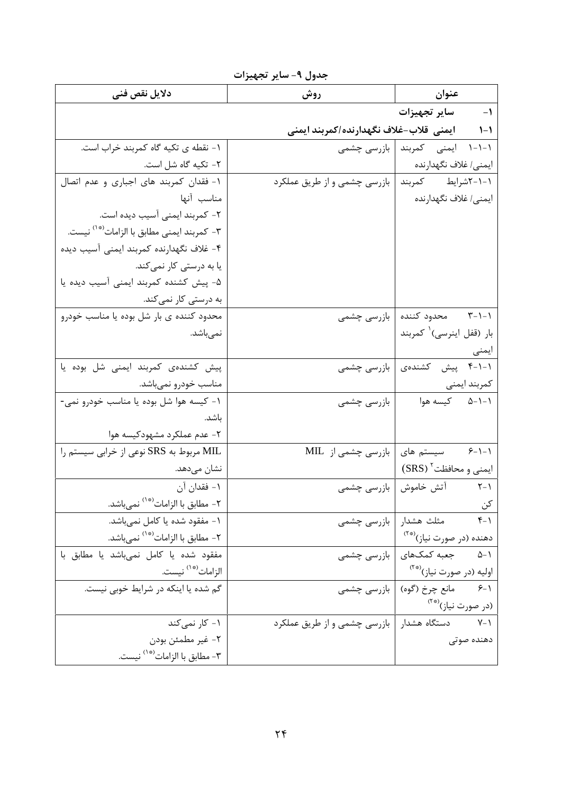| دلايل نقص فنى                                          | روش                                                | عنوان                                   |
|--------------------------------------------------------|----------------------------------------------------|-----------------------------------------|
|                                                        |                                                    | ١- ساير تجهيزات                         |
|                                                        | ۱-۱        ایمنی  قلاب-غلاف نگهدارنده/کمربند ایمنی |                                         |
| ١- نقطه ي تكيه گاه كمربند خراب است.                    |                                                    | ۱-۱-۱ ایمنی کمربند   بازرسی چشمی        |
| ٢- تكيه گاه شل است.                                    |                                                    | ايمنى/ غلاف نگهدارنده                   |
| ۱- فقدان کمربند های اجباری و عدم اتصال                 | بازرسی چشمی و از طریق عملکرد                       | ١-١-٢شرايط كمربند                       |
| مناسب آنها                                             |                                                    | ايمنى/ غلاف نگهدارنده                   |
| ٢- كمربند ايمنى آسيب ديده است.                         |                                                    |                                         |
| ٣- كمربند ايمنى مطابق با الزامات <sup>(*٠)</sup> نيست. |                                                    |                                         |
| ۴- غلاف نگهدارنده کمربند ایمنی آسیب دیده               |                                                    |                                         |
| یا به درستی کار نمی <i>ک</i> ند.                       |                                                    |                                         |
| ۵- پیش کشنده کمربند ایمنی آسیب دیده یا                 |                                                    |                                         |
| به درستی کار نمیکند.                                   |                                                    |                                         |
| محدود کننده ی بار شل بوده یا مناسب خودرو               |                                                    | ۰۱–۳ محدود کننده   بازرسی چشمی          |
| نمىباشد.                                               |                                                    | بار (قفل اينرسى) كمربند                 |
|                                                        |                                                    | ایمنی                                   |
| پیش کشندهی کمربند ایمنی شل بوده یا                     |                                                    | ۰۱-۱-۴ پیش کشندهی   بازرسی چشمی         |
| مناسب خودرو نميباشد.                                   |                                                    | كمربند ايمنى                            |
| ۱- کیسه هوا شل بوده یا مناسب خودرو نمی-                | بازرسی چشمی                                        | ۵-۱-۱ کیسه هوا                          |
| باشد.                                                  |                                                    |                                         |
| ۲- عدم عملکرد مشهودکیسه هوا                            |                                                    |                                         |
| MIL مربوط به SRS نوعی از خرابی سیستم را                | سیستم های   بازرسی چشمی از MIL                     | $8 - 1 - 1$                             |
| نشان میدهد.                                            |                                                    | ایمنی و محافظت SRS)                     |
| ١- فقدان آن                                            | آتش خاموش   بازرسی چشمی                            | $Y - Y$                                 |
| ۲- مطابق با الزامات <sup>(*۱)</sup> نمىباشد.           |                                                    | کن                                      |
| ١- مفقود شده يا كامل نمي باشد.                         | بازرسی چشمی                                        | مثلث هشدار<br>$Y - \gamma$              |
| ۲- مطابق با الزامات <sup>(*</sup> `` نمىباشد.          |                                                    | دهنده (در صورت نیاز) <sup>(*۲</sup>     |
| مفقود شده يا كامل نمى باشد يا مطابق با                 |                                                    | ۱-۵       جعبه کمکهای   بازرسی چشمی     |
| الزامات <sup>(* ١)</sup> نيست.                         |                                                    | اوليه (در صورت نياز) <sup>(**)</sup>    |
| گم شده یا اینکه در شرایط خوبی نیست.                    |                                                    | مانع چرخ (گوه)   بازرسی چشمی<br>$5 - 1$ |
|                                                        |                                                    | (در صورت نیاز) <sup>(**)</sup>          |
| ۱- کار نمی کند                                         | بازرسی چشمی و از طریق عملکرد                       | دستگاه هشدار<br>$Y - Y$                 |
| ٢- غير مطمئن بودن                                      |                                                    | دهنده صوتى                              |
| ٣- مطابق با الزامات <sup>(*١)</sup> نيست.              |                                                    |                                         |

جدول ۹- ساير تجهيزات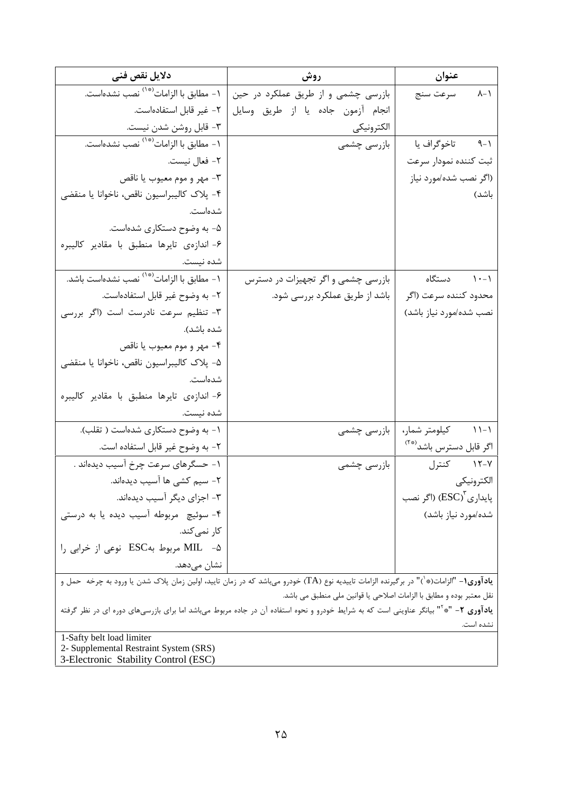| دلايل نقص فنى                                                                  | روش                                                                                                                                                     | عنوان                               |
|--------------------------------------------------------------------------------|---------------------------------------------------------------------------------------------------------------------------------------------------------|-------------------------------------|
| ١- مطابق با الزامات <sup>(*٠)</sup> نصب نشدهاست.                               | بازرسی چشمی و از طریق عملکرد در حین                                                                                                                     | ۸-۱ سرعت سنج                        |
| ٢- غير قابل استفادهاست.                                                        | انجام آزمون جاده يا از طريق وسايل                                                                                                                       |                                     |
| ٣- قابل روشن شدن نيست.                                                         | الكترونيكي                                                                                                                                              |                                     |
| ١- مطابق با الزامات <sup>(*٠)</sup> نصب نشدهاست.                               | بازرسی چشمی                                                                                                                                             | ۹-۱ تاخوگراف یا                     |
| ٢- فعال نيست.                                                                  |                                                                                                                                                         | ثبت كننده نمودار سرعت               |
| ٣- مهر و موم معيوب يا ناقص                                                     |                                                                                                                                                         | (اگر نصب شده/مورد نیاز              |
| ۴- پلاک کالیبراسیون ناقص، ناخوانا یا منقضی                                     |                                                                                                                                                         | باشد)                               |
| شدەاست.                                                                        |                                                                                                                                                         |                                     |
| ۵- به وضوح دستکاری شدهاست.                                                     |                                                                                                                                                         |                                     |
| ۶- اندازهى تايرها منطبق با مقادير كاليبره                                      |                                                                                                                                                         |                                     |
| شده نیست.                                                                      |                                                                                                                                                         |                                     |
| ۱- مطابق با الزامات <sup>(*</sup> `` نصب نشدهاست باشد.                         | بازرسی چشمی و اگر تجهیزات در دسترس                                                                                                                      | ۰-۱۱ دستگاه                         |
| ٢- به وضوح غير قابل استفادهاست.                                                | باشد از طریق عملکرد بررسی شود.                                                                                                                          | محدود کننده سرعت (اگر               |
| ٣- تنظيم سرعت نادرست است (اگر بررسی                                            |                                                                                                                                                         | نصب شده/مورد نياز باشد)             |
| شده باشد).                                                                     |                                                                                                                                                         |                                     |
| ۴- مهر و موم معيوب يا ناقص                                                     |                                                                                                                                                         |                                     |
| ۵- پلاک کالیبراسیون ناقص، ناخوانا یا منقضی                                     |                                                                                                                                                         |                                     |
| شدەاست.                                                                        |                                                                                                                                                         |                                     |
| ۶- اندازەي تايرها منطبق با مقادير كاليبره                                      |                                                                                                                                                         |                                     |
| شده نیست.                                                                      |                                                                                                                                                         |                                     |
| ۱- به وضوح دستکاری شدهاست ( تقلب).                                             | بازرسی چشمی                                                                                                                                             | ۱۱-۱۱ کیلومتر شمار،                 |
| ٢- به وضوح غير قابل استفاده است.                                               |                                                                                                                                                         | اگر قابل دسترس باشد <sup>(**)</sup> |
| ١- حسگرهای سرعت چرخ آسیب دیدهاند .                                             | بازرسی چشمی                                                                                                                                             | ۱۲-۷ کنترل                          |
| ۲– سیم کشی ها آسیب دیدهاند.                                                    |                                                                                                                                                         | الكترونيكي                          |
| ۳- اجزای دیگر آسیب دیدهاند.                                                    |                                                                                                                                                         | یایدا <sub>ر ک</sub> (ESC) (اگر نصب |
| ۴- سوئیچ مربوطه آسیب دیده یا به درستی                                          |                                                                                                                                                         | شده/مورد نیاز باشد)                 |
| کا <sub>ر</sub> نم <i>ی ک</i> ند.                                              |                                                                                                                                                         |                                     |
| ۵- MIL مربوط بهESC نوعی از خرابی را                                            |                                                                                                                                                         |                                     |
| نشان میدهد.                                                                    |                                                                                                                                                         |                                     |
|                                                                                | <b>یادآوری(-</b> "الزامات(*`)" در برگیرنده الزامات تاییدیه نوع (TA) خودرو می!شد که در زمان تایید، اولین زمان پلاک شدن یا ورود به چرخه  حمل و            |                                     |
|                                                                                | نقل معتبر بوده و مطابق با الزامات اصلاحی یا قوانین ملی منطبق می باشد.                                                                                   |                                     |
|                                                                                | <b>یادآوری ۲</b> – "* <sup>۱۲</sup> بیانگر عناوینی است که به شرایط خودرو و نحوه استفاده آن در جاده مربوط میباشد اما برای بازرسیهای دوره ای در نظر گرفته | نشده است.                           |
| 1-Safty belt load limiter                                                      |                                                                                                                                                         |                                     |
| 2- Supplemental Restraint System (SRS)<br>3-Electronic Stability Control (ESC) |                                                                                                                                                         |                                     |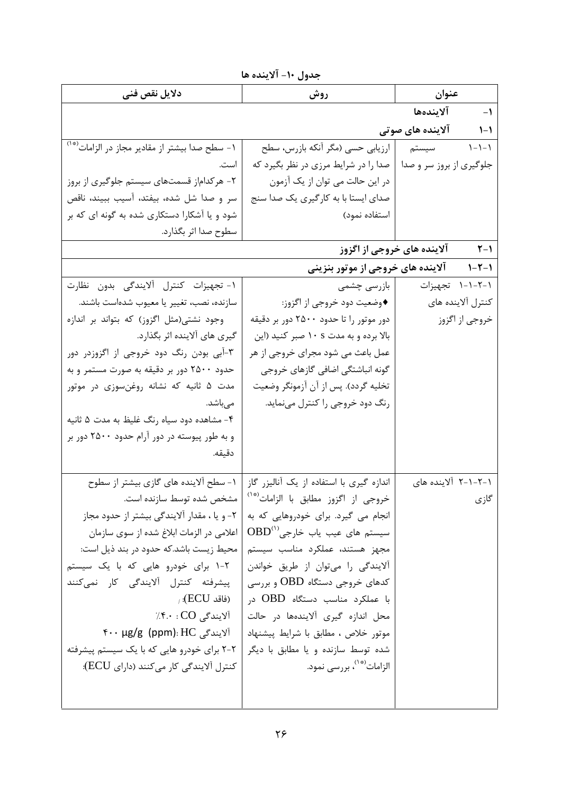| جدول ١٠- آلاينده ها |  |  |
|---------------------|--|--|
|                     |  |  |

|                                                            | <u>. رن</u>                                      |                                           |
|------------------------------------------------------------|--------------------------------------------------|-------------------------------------------|
| دلايل نقص فنى                                              | روش                                              | عنوان                                     |
|                                                            |                                                  | ١- آلايندەھا                              |
|                                                            |                                                  | ۱-۱ آلاینده های صوتی                      |
| ۱- سطح صدا بیشتر از مقادیر مجاز در الزامات <sup>(*</sup> ' | ارزیابی حسی (مگر أنکه بازرس، سطح                 | $\gamma-\gamma-\gamma$<br>سيستم           |
| است.                                                       | صدا را در شرایط مرزی در نظر بگیرد که             | جلوگیری از بروز سر و صدا                  |
| ۲- هرکداماز قسمتهای سیستم جلوگیری از بروز                  | در این حالت می توان از یک آزمون                  |                                           |
| سر و صدا شل شده، بیفتد، آسیب ببیند، ناقص                   | صدای ایستا با به کارگیری یک صدا سنج              |                                           |
| شود و یا آشکارا دستکاری شده به گونه ای که بر               | استفاده نمود)                                    |                                           |
| سطوح صدا اثر بگذارد.                                       |                                                  |                                           |
|                                                            |                                                  | <b>۱-۲</b> آلاینده های خروجی از اگزوز     |
|                                                            |                                                  | ۱-۲-۱ د آلاینده های خروجی از موتور بنزینی |
| ١- تجهيزات كنترل ألايندگي بدون نظارت                       | بازرسی چشمی                                      | ۰۱–۲–۱۱ تجهیزات                           |
| سازنده، نصب، تغییر یا معیوب شدهاست باشند.                  | ♦وضعيت دود خروجي از اگزوز:                       | كنترل آلاينده هاى                         |
| وجود نشتی(مثل اگزوز) که بتواند بر اندازه                   | دور موتور را تا حدود ۲۵۰۰ دور بر دقیقه           | خروجي از اگزوز                            |
| گیری های آلاینده اثر بگذارد.                               | بالا برده و به مدت ١٠ s صبر كنيد (اين            |                                           |
| ۳-آبی بودن رنگ دود خروجی از اگزوزدر دور                    | عمل باعث می شود مجرای خروجی از هر                |                                           |
| حدود ۲۵۰۰ دور بر دقیقه به صورت مستمر و به                  | گونه انباشتگی اضافی گازهای خروجی                 |                                           |
| مدت ۵ ثانیه که نشانه روغنسوزی در موتور                     | تخليه گردد). پس از آن آزمونگر وضعيت              |                                           |
| مىباشد.                                                    | رنگ دود خروجی را کنترل مینماید.                  |                                           |
| ۴- مشاهده دود سیاه رنگ غلیظ به مدت ۵ ثانیه                 |                                                  |                                           |
| و به طور پیوسته در دور آرام حدود ۲۵۰۰ دور بر               |                                                  |                                           |
| دقيقه.                                                     |                                                  |                                           |
| ۱- سطح آلاینده های گازی بیشتر از سطوح                      | اندازه گیری با استفاده از یک آنالیزر گاز         | ۱–۲–۲–۲ آلاینده های                       |
| مشخص شده توسط سازنده است.                                  | خروجی از اگزوز مطابق با الزامات <sup>(*</sup> ') | گازی                                      |
| ۲- و یا ، مقدار آلایندگی بیشتر از حدود مجاز                | انجام می گیرد. برای خودروهایی که به              |                                           |
| اعلامی در الزمات ابلاغ شده از سوی سازمان                   | $\mathrm{OBD}^{(1)}$ سیستم های عیب یاب خارجی     |                                           |
| محیط زیست باشد.که حدود در بند ذیل است:                     | مجهز هستند، عملکرد مناسب سیستم                   |                                           |
| ۲-۱ برای خودرو هایی که با یک سیستم                         | آلایندگی را میتوان از طریق خواندن                |                                           |
| پیشرفته کنترل آلایندگی کار نمیکنند                         | کدهای خروجی دستگاه OBD و بررسی                   |                                           |
| (فاقد ECU): $\mu$                                          | با عملکرد مناسب دستگاه OBD در                    |                                           |
| آلایندگی CO : ۴.۰)                                         | محل اندازه گیری آلایندهها در حالت                |                                           |
| ۴۰۰ µg/g (ppm): HC آلایندگی                                | موتور خلاص ، مطابق با شرايط پيشنهاد              |                                           |
| ۲-۲ برای خودرو هایی که با یک سیستم پیشرفته                 | شده توسط سازنده و یا مطابق با دیگر               |                                           |
| كنترل آلايندگي كار ميكنند (داراي ECU):                     | الزامات <sup>(*۱)</sup> بررسی نمود.              |                                           |
|                                                            |                                                  |                                           |
|                                                            |                                                  |                                           |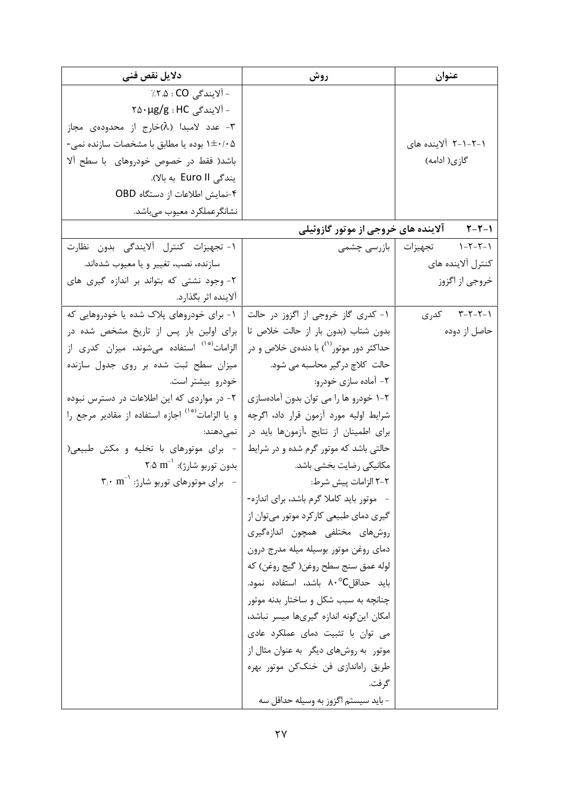| دلایل نقص فنی                                                                                           | روش                                                 | عنوان                                    |
|---------------------------------------------------------------------------------------------------------|-----------------------------------------------------|------------------------------------------|
| − آلایندگی CO : ۲.۵٪                                                                                    |                                                     |                                          |
| – آلايندگي   Y۵۰μg/g : HC                                                                               |                                                     |                                          |
| ۳- عدد لامبدا (۸)خارج از محدودهی مجاز                                                                   |                                                     |                                          |
| ۰/۰۵+۱ بوده یا مطابق با مشخصات سازنده نمی-                                                              |                                                     | ۱–۲–۲–۲ آلاینده های                      |
| باشد( فقط در خصوص خودروهای با سطح آلا                                                                   |                                                     | گازی( ادامه)                             |
| یندگی Euro II به بالا).                                                                                 |                                                     |                                          |
| ۴-نمایش اطلاعات از دستگاه OBD                                                                           |                                                     |                                          |
| نشانگرعملکرد معیوب میباشد.                                                                              |                                                     |                                          |
|                                                                                                         | آلاینده های خروجی از موتور گازوئیلی                 | $Y - Y - Y$                              |
| ١- تجهيزات كنترل آلايندگى بدون نظارت                                                                    |                                                     | $1 - 7 - 7 - 1$<br>تجهیزات   بازرسی چشمی |
| سازنده، نصب، تغییر و یا معیوب شدهاند.                                                                   |                                                     | كنترل آلاينده هاى                        |
| ٢- وجود نشتی که بتواند بر اندازه گیری های                                                               |                                                     | خروجي از اگزوز                           |
| آلاينده اثر بگذارد.                                                                                     |                                                     |                                          |
| ۱- برای خودروهای پلاک شده یا خودروهایی که                                                               | ١- کدری گاز خروجی از اگزوز در حالت                  | ۲-۲-۲-۳ کدری                             |
| برای اولین بار پس از تاریخ مشخص شده در                                                                  | بدون شتاب (بدون بار از حالت خلاص تا                 | حاصل از دوده                             |
| الزامات <sup>(*</sup> ' استفاده میشوند، میزان کدری از                                                   | حداکثر دور موتور <sup>(۱</sup> ) با دندهی خلاص و در |                                          |
| میزان سطح ثبت شده بر روی جدول سازنده                                                                    | حالت کلاچ درگیر محاسبه می شود.                      |                                          |
| خودرو بیشتر است.                                                                                        | ۲- آماده سازی خودرو:                                |                                          |
| ۲- در مواردی که این اطلاعات در دسترس نبوده                                                              | ۲-۱ خودرو ها را می توان بدون آمادهسازی              |                                          |
| و یا الزامات <sup>(*۰)</sup> اجازه استفاده از مقادیر مرجع را                                            | شرايط اوليه مورد آزمون قرار داد، اگرچه              |                                          |
| نمىدھند:                                                                                                | برای اطمینان از نتایج ،آزمونها باید در              |                                          |
| - برای موتورهای با تخلیه و مکش طبیعی(                                                                   | حالتی باشد که موتور گرم شده و در شرایط              |                                          |
| $\mathsf{Y}_{/\mathsf{\Delta}} \ \mathbf{m}^{-1}$ بدون توربو شارژ): $\mathsf{\Delta} \ \mathbf{m}^{-1}$ | مكانيكي رضايت بخشى باشد.                            |                                          |
| $\mathbf{y}_i \cdot \mathbf{m}^{-1}$ برای موتورهای توربو شارژ: '                                        | ۲–۲ الزامات پیش شرط:                                |                                          |
|                                                                                                         | - موتور باید کاملا گرم باشد، برای اندازه-           |                                          |
|                                                                                                         | گیری دمای طبیعی کارکرد موتور می توان از             |                                          |
|                                                                                                         | روشهای مختلفی همچون اندازهگیری                      |                                          |
|                                                                                                         | دمای روغن موتور بوسیله میله مدرج درون               |                                          |
|                                                                                                         | لوله عمق سنج سطح روغن( گيج روغن) كه                 |                                          |
|                                                                                                         | بايد حداقلC^۰ باشد، استفاده نمود.                   |                                          |
|                                                                                                         | چنانچه به سبب شکل و ساختار بدنه موتور               |                                          |
|                                                                                                         | امكان اين گونه اندازه گيرىها ميسر نباشد،            |                                          |
|                                                                                                         | می توان با تثبیت دمای عملکرد عادی                   |                                          |
|                                                                                                         | موتور به روشهای دیگر به عنوان مثال از               |                                          |
|                                                                                                         | طريق راەاندازى فن خنككن موتور بھرە                  |                                          |
|                                                                                                         | گرفت.                                               |                                          |
|                                                                                                         | – بايد سيستم اگزوز به وسيله حداقل سه                |                                          |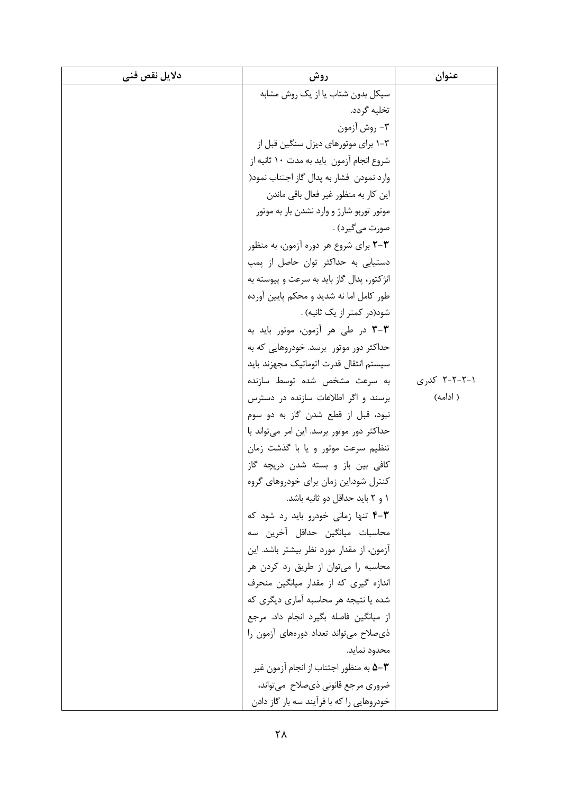| دلايل نقص فنى | روش                                            | عنوان        |
|---------------|------------------------------------------------|--------------|
|               | سیکل بدون شتاب یا از یک روش مشابه              |              |
|               | تخلیه گردد.                                    |              |
|               | ٣- روش آزمون                                   |              |
|               | ۰۳-۲ برای موتورهای دیزل سنگین قبل از           |              |
|               | شروع انجام آزمون بايد به مدت ١٠ ثانيه از       |              |
|               | وارد نمودن فشار به پدال گاز اجتناب نمود(       |              |
|               | این کار به منظور غیر فعال باقی ماندن           |              |
|               | موتور توربو شارژ و وارد نشدن بار به موتور      |              |
|               | صورت مي گيرد) .                                |              |
|               | <b>۳-۳</b> برای شروع هر دوره آزمون، به منظور   |              |
|               | دستیابی به حداکثر توان حاصل از پمپ             |              |
|               | انژکتور، پدال گاز باید به سرعت و پیوسته به     |              |
|               | طور کامل اما نه شدید و محکم پایین آورده        |              |
|               | شود(در کمتر از یک ثانیه) .                     |              |
|               | <b>۳-۳</b> در طی هر آزمون، موتور باید به       |              |
|               | حداکثر دور موتور برسد. خودروهایی که به         |              |
|               | سيستم انتقال قدرت اتوماتيك مجهزند بايد         |              |
|               | به سرعت مشخص شده توسط سازنده                   | ۲-۲-۲-۲ کدری |
|               | برسند و اگر اطلاعات سازنده در دسترس            | ( ادامه)     |
|               | نبود، قبل از قطع شدن گاز به دو سوم             |              |
|               | حداکثر دور موتور برسد. این امر میتواند با      |              |
|               | تنظیم سرعت موتور و یا با گذشت زمان             |              |
|               | کافی بین باز و بسته شدن دریچه گاز              |              |
|               | کنترل شود.این زمان برای خودروهای گروه          |              |
|               | ١ و ٢ بايد حداقل دو ثانيه باشد.                |              |
|               | <b>۴-۳</b> تنها زمانی خودرو باید رد شود که     |              |
|               | محاسبات میانگین حداقل آخرین سه                 |              |
|               | آزمون، از مقدار مورد نظر بیشتر باشد. این       |              |
|               | محاسبه را می توان از طریق رد کردن هر           |              |
|               | اندازه گیری که از مقدار میانگین منحرف          |              |
|               | شده یا نتیجه هر محاسبه آماری دیگری که          |              |
|               | از میانگین فاصله بگیرد انجام داد. مرجع         |              |
|               | ذي صلاح مي تواند تعداد دورههاي آزمون را        |              |
|               | محدود نمايد.                                   |              |
|               | <b>۵–۳ ب</b> ه منظور اجتناب از انجام آزمون غیر |              |
|               | ضروري مرجع قانوني ذي صلاح ٍ مي تواند،          |              |
|               | خودروهایی را که با فرآیند سه بار گاز دادن      |              |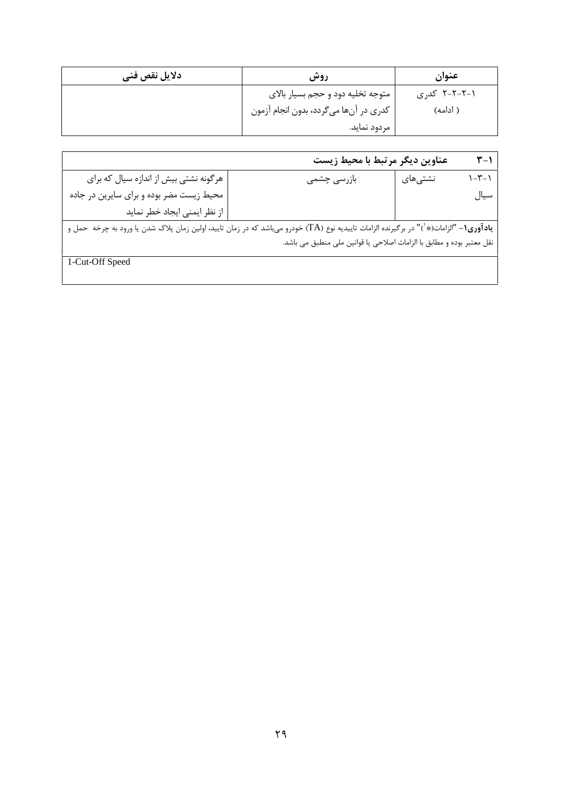| دلايل نقص فنى | روش                                     | عنوان        |
|---------------|-----------------------------------------|--------------|
|               | متوجه تخليه دود و حجم بسيار بالاي       | ۲-۲-۲-۲ کدری |
|               | ً كدري در آنها ميگردد، بدون انجام آزمون | ( ادامه)     |
|               | مر دود نماید.                           |              |

|                                          | عناوين ديگر مرتبط با محيط زيست                                                                                                                |         | $Y-1$       |
|------------------------------------------|-----------------------------------------------------------------------------------------------------------------------------------------------|---------|-------------|
| هرگونه نشتی بیش از اندازه سیال که برای   | بازرسى چشمى                                                                                                                                   | نشتیهای | $1 - 7 - 1$ |
| محیط زیست مضر بوده و برای سایرین در جاده |                                                                                                                                               |         | سيال        |
| از نظر ایمنی ایجاد خطر نماید             |                                                                                                                                               |         |             |
|                                          | <b>یادآوری۱</b> - "الزامات(*`)" در برگیرنده الزامات تاییدیه نوع (TA) خودرو میباشد که در زمان تایید، اولین زمان پلاک شدن یا ورود به چرخه حمل و |         |             |
|                                          | نقل معتبر بوده و مطابق با الزامات اصلاحی یا قوانین ملی منطبق می باشد.                                                                         |         |             |
| 1-Cut-Off Speed                          |                                                                                                                                               |         |             |
|                                          |                                                                                                                                               |         |             |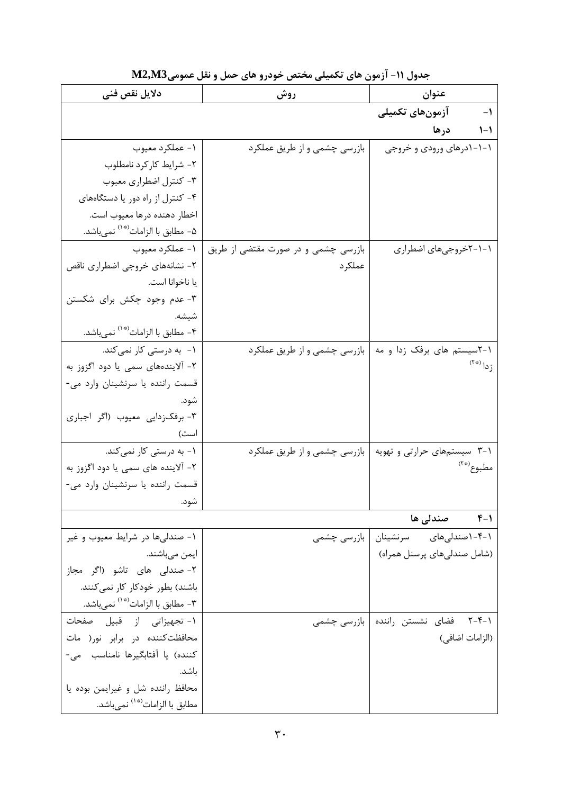| دلایل نقص فنی                                 | روش                                 | عنوان                                  |
|-----------------------------------------------|-------------------------------------|----------------------------------------|
|                                               |                                     | آزمونهاي تكميلي<br>$-1$                |
|                                               |                                     | ۱-۱ درها                               |
| ۱- عملکرد معیوب                               | بازرسی چشمی و از طریق عملکرد        | ۱-۱-۱درهای ورودی و خروجی               |
| ۲- شرایط کارکرد نامطلوب                       |                                     |                                        |
| ۳- کنترل اضطراری معیوب                        |                                     |                                        |
| ۴- کنترل از راه دور یا دستگاههای              |                                     |                                        |
| اخطار دهنده درها معيوب است.                   |                                     |                                        |
| ۵- مطابق با الزامات <sup>(*۵)</sup> نمىباشد.  |                                     |                                        |
| ۱- عملکرد معیوب                               | بازرسی چشمی و در صورت مقتضی از طریق | ۱–۱–۲خروجیهای اضطراری                  |
| ۲- نشانههای خروجی اضطراری ناقص                | عملكر د                             |                                        |
| يا ناخوانا است.                               |                                     |                                        |
| ۳- عدم وجود چکش برای شکستن                    |                                     |                                        |
| شيشه.                                         |                                     |                                        |
| ۴- مطابق با الزامات <sup>(*۱)</sup> نميباشد.  |                                     |                                        |
| ۱-  به درستی کار نمیکند.                      | بازرسی چشمی و از طریق عملکرد        | ۰۱-۲سیستم های برفک زدا و مه            |
| ۲- آلایندههای سمی یا دود اگزوز به             |                                     | $(5*)$ $ _{0}$ ;                       |
| قسمت راننده یا سرنشینان وارد می-              |                                     |                                        |
| شود.                                          |                                     |                                        |
| ۳- برفکزدایی معیوب (اگر اجباری                |                                     |                                        |
| است)                                          |                                     |                                        |
| ۱- به درستی کار نمی کند.                      | بازرسی چشمی و از طریق عملکرد        | ۲-۱ سیستمهای حرارتی و تهویه            |
| ۲- آلاینده های سمی یا دود اگزوز به            |                                     | مطبوع (*``                             |
| قسمت راننده یا سرنشینان وارد می-              |                                     |                                        |
| شود.                                          |                                     |                                        |
|                                               |                                     | ۰۱–۴ صندل <sub>ی</sub> ها              |
| ۱- صندلیها در شرایط معیوب و غیر               | بازرسی چشمی                         | ۰۱-۴-۱صندلیهای سرنشینان                |
| ايمن مىباشند.                                 |                                     | (شامل صندلیهای پرسنل همراه)            |
| ٢- صندلی های تاشو (اگر مجاز                   |                                     |                                        |
| باشند) بطور خودکار کار نمی کنند.              |                                     |                                        |
| ۳- مطابق با الزامات <sup>(* ۰)</sup> نمیباشد. |                                     |                                        |
| ١- تجهيزاتي از قبيل صفحات                     |                                     | ۰۱–۲-۴ فضای نشستن راننده   بازرسی چشمی |
| محافظت كننده در برابر نور( مات                |                                     | (الزامات اضافي)                        |
| كننده) يا آفتابگيرها نامناسب مي-              |                                     |                                        |
| باشد.                                         |                                     |                                        |
| محافظ راننده شل و غیرایمن بوده یا             |                                     |                                        |
| مطابق با الزامات <sup>(* ١</sup> ) نميباشد.   |                                     |                                        |

جدول ١١- آزمون های تکمیلی مختص خودرو های حمل و نقل عمومیM2,M3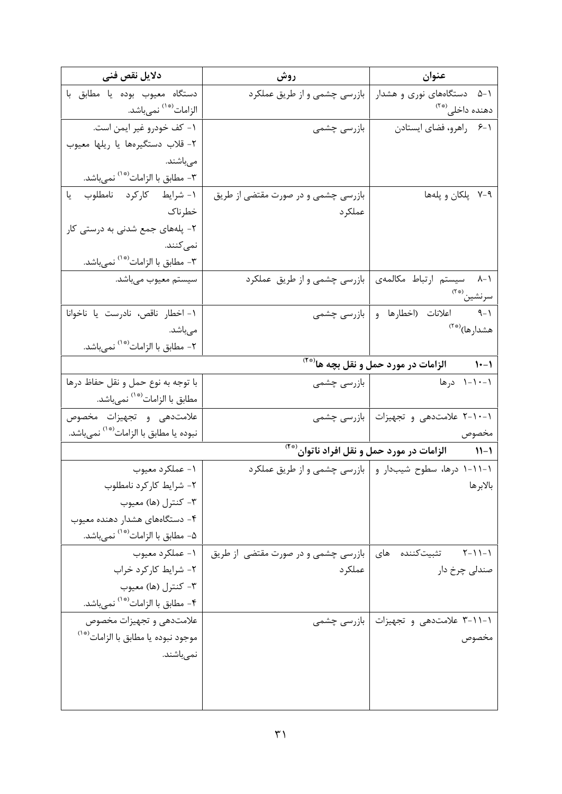| دلايل نقص فنى                                                |                                     | عنوان                                                                  |
|--------------------------------------------------------------|-------------------------------------|------------------------------------------------------------------------|
| دستگاه معيوب بوده يا مطابق با                                | بازرسی چشمی و از طریق عملکرد        | ۵-۱ دستگاههای نوری و هشدار                                             |
| الزامات <sup>(*۱)</sup> نمىباشد.                             |                                     | دهنده داخلی <sup>(*۲</sup> )                                           |
| ١- كف خودرو غير ايمن است.                                    |                                     | ۰۱–۶ راهرو، فضای ایستادن معالی ابازرسی چشمی                            |
| ٢- قلاب دستگيرهها يا ريلها معيوب                             |                                     |                                                                        |
| مىباشند.                                                     |                                     |                                                                        |
| ۳- مطابق با الزامات <sup>(* ۱</sup> ′ نمىباشد.               |                                     |                                                                        |
| ١- شرايط كاركرد نامطلوب يا                                   | بازرسی چشمی و در صورت مقتضی از طریق | ۷-۹ پلکان و پلهها                                                      |
| خطرناک                                                       | عملكرد                              |                                                                        |
| ۲- پلههای جمع شدنی به درستی کار                              |                                     |                                                                        |
| نم <i>ی ک</i> نند.                                           |                                     |                                                                        |
| ۳- مطابق با الزامات <sup>(* ۱</sup> ′ نمىباشد.               |                                     |                                                                        |
| سیستم معیوب میباشد.                                          | بازرسی چشمی و از طریق عملکرد        | ٨-١ سيستم ارتباط مكالمهى                                               |
|                                                              |                                     | سرنشين (* <sup>٢)</sup>                                                |
| ١- اخطار ناقص، نادرست يا ناخوانا                             |                                     | ۰۱–۹ اعلانات (اخطارها و بازرسی چشمی                                    |
| مىباشد.                                                      |                                     | هشدارها) <sup>(*۲</sup>                                                |
| ۲- مطابق با الزامات <sup>(* ۱</sup> ) نمىباشد.               |                                     |                                                                        |
|                                                              |                                     |                                                                        |
| با توجه به نوع حمل و نقل حفاظ درها                           |                                     | ۰–۱۰–۱ درها میسان او بازرسی چشمی                                       |
| مطابق با الزامات <sup>(* ١</sup> نمىباشد.                    |                                     |                                                                        |
| علامتدهى وتجهيزات مخصوص                                      |                                     | ۱-۱۰-۲ علامتدهی و تجهیزات   بازرسی چشمی                                |
| نبوده يا مطابق با الزامات <sup>(* ١)</sup> نمىباشد.          |                                     | مخصوص                                                                  |
|                                                              |                                     | ۱۱-۱            الزامات در مورد حمل و نقل افراد ناتوان <sup>(**)</sup> |
| ۱- عملکرد معیوب                                              |                                     | ۱-۱۱-۱ درها، سطوح شیبدار و   بازرسی چشمی و از طریق عملکرد              |
| ۲- شرایط کارکرد نامطلوب                                      |                                     | بالابرها                                                               |
| ۳- کنترل (ها) معیوب                                          |                                     |                                                                        |
| ۴- دستگاههای هشدار دهنده معیوب                               |                                     |                                                                        |
| ۵- مطابق با الزامات <sup>(*۱)</sup> نمىباشد.                 |                                     |                                                                        |
| ۱- عملکرد معیوب                                              | بازرسی چشمی و در صورت مقتضی از طریق | ۱–۱۱–۲ تثبیتکننده های                                                  |
| ٢- شرايط كاركرد خراب                                         | عملكرد                              | صندلی چرخ دار                                                          |
| ۳- کنترل (ها) معیوب                                          |                                     |                                                                        |
| ۴- مطابق با الزامات <sup>(* ۱</sup> ) نمىباشد.               |                                     |                                                                        |
| علامتدهی و تجهیزات مخصوص                                     |                                     | ۱-۱۱-۳ علامتدهی و تجهیزات   بازرسی چشمی                                |
| موجود نبوده يا مطابق با الزامات <sup>(*</sup> ' <sup>)</sup> |                                     | مخصوص                                                                  |
| نمىباشند.                                                    |                                     |                                                                        |
|                                                              |                                     |                                                                        |
|                                                              |                                     |                                                                        |
|                                                              |                                     |                                                                        |